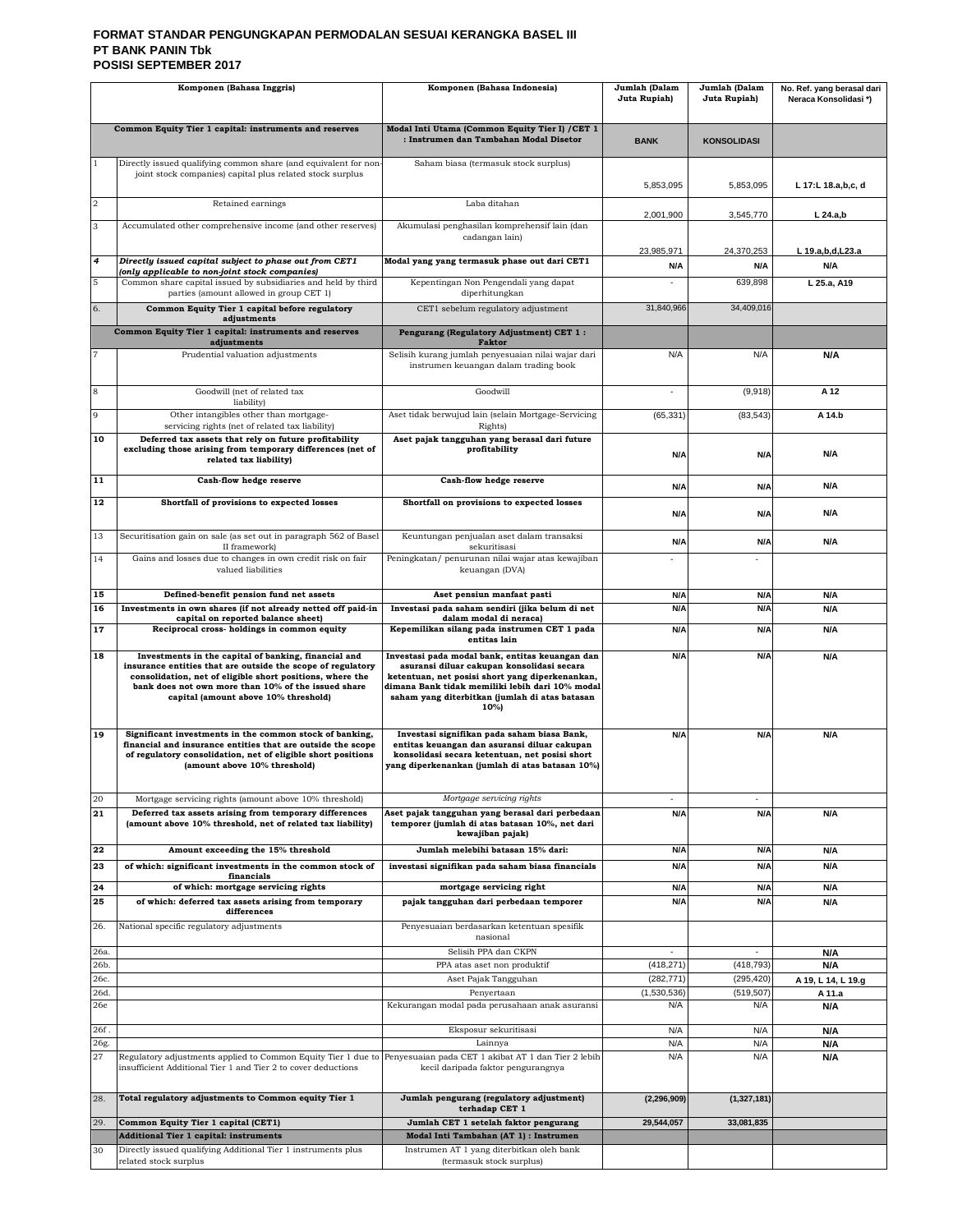#### **FORMAT STANDAR PENGUNGKAPAN PERMODALAN SESUAI KERANGKA BASEL III PT BANK PANIN Tbk POSISI SEPTEMBER 2017**

| Komponen (Bahasa Inggris) |                                                                                                                                                                                                                                                                                 | Komponen (Bahasa Indonesia)                                                                                                                                                                                                                                  | Jumlah (Dalam<br>Juta Rupiah) | Jumlah (Dalam<br>Juta Rupiah) | No. Ref. yang berasal dari<br>Neraca Konsolidasi*) |
|---------------------------|---------------------------------------------------------------------------------------------------------------------------------------------------------------------------------------------------------------------------------------------------------------------------------|--------------------------------------------------------------------------------------------------------------------------------------------------------------------------------------------------------------------------------------------------------------|-------------------------------|-------------------------------|----------------------------------------------------|
|                           | Common Equity Tier 1 capital: instruments and reserves                                                                                                                                                                                                                          | Modal Inti Utama (Common Equity Tier I) / CET 1<br>: Instrumen dan Tambahan Modal Disetor                                                                                                                                                                    | <b>BANK</b>                   | <b>KONSOLIDASI</b>            |                                                    |
|                           | Directly issued qualifying common share (and equivalent for non<br>joint stock companies) capital plus related stock surplus                                                                                                                                                    | Saham biasa (termasuk stock surplus)                                                                                                                                                                                                                         | 5,853,095                     | 5,853,095                     | L 17:L 18.a,b,c, d                                 |
| $\overline{2}$            | Retained earnings                                                                                                                                                                                                                                                               | Laba ditahan                                                                                                                                                                                                                                                 |                               |                               |                                                    |
| 3                         | Accumulated other comprehensive income (and other reserves)                                                                                                                                                                                                                     | Akumulasi penghasilan komprehensif lain (dan                                                                                                                                                                                                                 | 2,001,900                     | 3,545,770                     | $L$ 24.a,b                                         |
| $\overline{4}$            | Directly issued capital subject to phase out from CET1                                                                                                                                                                                                                          | cadangan lain)<br>Modal yang yang termasuk phase out dari CET1                                                                                                                                                                                               | 23.985.971                    | 24.370.253                    | L 19.a,b,d,L23.a                                   |
| 5                         | (only applicable to non-joint stock companies)<br>Common share capital issued by subsidiaries and held by third                                                                                                                                                                 | Kepentingan Non Pengendali yang dapat                                                                                                                                                                                                                        | N/A                           | N/A<br>639,898                | N/A<br>L 25.a, A19                                 |
| 6.                        | parties (amount allowed in group CET 1)<br>Common Equity Tier 1 capital before regulatory                                                                                                                                                                                       | diperhitungkan<br>CET1 sebelum regulatory adjustment                                                                                                                                                                                                         | 31,840,966                    | 34,409,016                    |                                                    |
|                           | adjustments<br>Common Equity Tier 1 capital: instruments and reserves                                                                                                                                                                                                           | Pengurang (Regulatory Adjustment) CET 1:                                                                                                                                                                                                                     |                               |                               |                                                    |
| 7                         | adjustments<br>Prudential valuation adjustments                                                                                                                                                                                                                                 | <b>Faktor</b>                                                                                                                                                                                                                                                | N/A                           | N/A                           |                                                    |
|                           |                                                                                                                                                                                                                                                                                 | Selisih kurang jumlah penyesuaian nilai wajar dari<br>instrumen keuangan dalam trading book                                                                                                                                                                  |                               |                               | N/A                                                |
| 8                         | Goodwill (net of related tax<br>liability)                                                                                                                                                                                                                                      | Goodwill                                                                                                                                                                                                                                                     |                               | (9,918)                       | A 12                                               |
| 9                         | Other intangibles other than mortgage-<br>servicing rights (net of related tax liability)                                                                                                                                                                                       | Aset tidak berwujud lain (selain Mortgage-Servicing<br>Rights)                                                                                                                                                                                               | (65, 331)                     | (83, 543)                     | A 14.b                                             |
| 10                        | Deferred tax assets that rely on future profitability<br>excluding those arising from temporary differences (net of<br>related tax liability)                                                                                                                                   | Aset pajak tangguhan yang berasal dari future<br>profitability                                                                                                                                                                                               | N/A                           | N/A                           | N/A                                                |
| 11                        | Cash-flow hedge reserve                                                                                                                                                                                                                                                         | Cash-flow hedge reserve                                                                                                                                                                                                                                      | N/A                           | N/A                           | N/A                                                |
| 12                        | Shortfall of provisions to expected losses                                                                                                                                                                                                                                      | Shortfall on provisions to expected losses                                                                                                                                                                                                                   | N/A                           | N/A                           | N/A                                                |
| 13                        | Securitisation gain on sale (as set out in paragraph 562 of Basel<br>II framework)                                                                                                                                                                                              | Keuntungan penjualan aset dalam transaksi<br>sekuritisasi                                                                                                                                                                                                    | N/A                           | N/A                           | N/A                                                |
| 14                        | Gains and losses due to changes in own credit risk on fair<br>valued liabilities                                                                                                                                                                                                | Peningkatan/ penurunan nilai wajar atas kewajiban<br>keuangan (DVA)                                                                                                                                                                                          |                               |                               |                                                    |
| 15                        | Defined-benefit pension fund net assets                                                                                                                                                                                                                                         | Aset pensiun manfaat pasti                                                                                                                                                                                                                                   | N/A                           | N/A                           | N/A                                                |
| 16                        | Investments in own shares (if not already netted off paid-in<br>capital on reported balance sheet)                                                                                                                                                                              | Investasi pada saham sendiri (jika belum di net<br>dalam modal di neraca)                                                                                                                                                                                    | N/A                           | N/A                           | N/A                                                |
| 17                        | Reciprocal cross-holdings in common equity                                                                                                                                                                                                                                      | Kepemilikan silang pada instrumen CET 1 pada<br>entitas lain                                                                                                                                                                                                 | N/A                           | N/A                           | N/A                                                |
| 18                        | Investments in the capital of banking, financial and<br>insurance entities that are outside the scope of regulatory<br>consolidation, net of eligible short positions, where the<br>bank does not own more than 10% of the issued share<br>capital (amount above 10% threshold) | Investasi pada modal bank, entitas keuangan dan<br>asuransi diluar cakupan konsolidasi secara<br>ketentuan, net posisi short yang diperkenankan,<br>dimana Bank tidak memiliki lebih dari 10% modal<br>saham yang diterbitkan (jumlah di atas batasan<br>10% | N/A                           | N/A                           | N/A                                                |
| 19                        | Significant investments in the common stock of banking,<br>financial and insurance entities that are outside the scope<br>of regulatory consolidation, net of eligible short positions<br>(amount above 10% threshold)                                                          | Investasi signifikan pada saham biasa Bank,<br>entitas keuangan dan asuransi diluar cakupan<br>konsolidasi secara ketentuan, net posisi short<br>yang diperkenankan (jumlah di atas batasan 10%)                                                             | N/A                           | N/A                           | N/A                                                |
| 20<br>$\overline{21}$     | Mortgage servicing rights (amount above 10% threshold)<br>Deferred tax assets arising from temporary differences<br>(amount above 10% threshold, net of related tax liability)                                                                                                  | Mortgage servicing rights<br>Aset pajak tangguhan yang berasal dari perbedaan<br>temporer (jumlah di atas batasan 10%, net dari<br>kewajiban pajak)                                                                                                          | N/A                           | N/A                           | N/A                                                |
| 22                        | Amount exceeding the 15% threshold                                                                                                                                                                                                                                              | Jumlah melebihi batasan 15% dari:                                                                                                                                                                                                                            | N/A                           | N/A                           | N/A                                                |
| 23                        | of which: significant investments in the common stock of<br>financials                                                                                                                                                                                                          | investasi signifikan pada saham biasa financials                                                                                                                                                                                                             | N/A                           | N/A                           | N/A                                                |
| 24<br>25                  | of which: mortgage servicing rights<br>of which: deferred tax assets arising from temporary                                                                                                                                                                                     | mortgage servicing right<br>pajak tangguhan dari perbedaan temporer                                                                                                                                                                                          | N/A<br>N/A                    | N/A<br>N/A                    | N/A<br>N/A                                         |
|                           | differences                                                                                                                                                                                                                                                                     |                                                                                                                                                                                                                                                              |                               |                               |                                                    |
| 26.                       | National specific regulatory adjustments                                                                                                                                                                                                                                        | Penyesuaian berdasarkan ketentuan spesifik<br>nasional                                                                                                                                                                                                       |                               |                               |                                                    |
| 26a.<br>26b.              |                                                                                                                                                                                                                                                                                 | Selisih PPA dan CKPN<br>PPA atas aset non produktif                                                                                                                                                                                                          | ä,<br>(418, 271)              | ä,<br>(418, 793)              | N/A<br>N/A                                         |
| 26с.                      |                                                                                                                                                                                                                                                                                 | Aset Pajak Tangguhan                                                                                                                                                                                                                                         | (282, 771)                    | (295, 420)                    | A 19, L 14, L 19.g                                 |
| 26d<br>26e                |                                                                                                                                                                                                                                                                                 | Penyertaan<br>Kekurangan modal pada perusahaan anak asuransi                                                                                                                                                                                                 | (1,530,536)<br>N/A            | (519, 507)<br>N/A             | A 11.a<br>N/A                                      |
| 26f.                      |                                                                                                                                                                                                                                                                                 | Eksposur sekuritisasi                                                                                                                                                                                                                                        | N/A                           | N/A                           | N/A                                                |
| 26g.                      |                                                                                                                                                                                                                                                                                 | Lainnya                                                                                                                                                                                                                                                      | N/A                           | N/A                           | N/A                                                |
| 27                        | Regulatory adjustments applied to Common Equity Tier 1 due to<br>insufficient Additional Tier 1 and Tier 2 to cover deductions                                                                                                                                                  | Penyesuaian pada CET 1 akibat AT 1 dan Tier 2 lebih<br>kecil daripada faktor pengurangnya                                                                                                                                                                    | N/A                           | N/A                           | N/A                                                |
| 28.                       | Total regulatory adjustments to Common equity Tier 1                                                                                                                                                                                                                            | Jumlah pengurang (regulatory adjustment)<br>terhadap CET 1                                                                                                                                                                                                   | (2, 296, 909)                 | (1,327,181)                   |                                                    |
| 29.                       | Common Equity Tier 1 capital (CET1)<br><b>Additional Tier 1 capital: instruments</b>                                                                                                                                                                                            | Jumlah CET 1 setelah faktor pengurang<br>Modal Inti Tambahan (AT 1) : Instrumen                                                                                                                                                                              | 29,544,057                    | 33,081,835                    |                                                    |
| 30                        | Directly issued qualifying Additional Tier 1 instruments plus<br>related stock surplus                                                                                                                                                                                          | Instrumen AT 1 yang diterbitkan oleh bank<br>(termasuk stock surplus)                                                                                                                                                                                        |                               |                               |                                                    |
|                           |                                                                                                                                                                                                                                                                                 |                                                                                                                                                                                                                                                              |                               |                               |                                                    |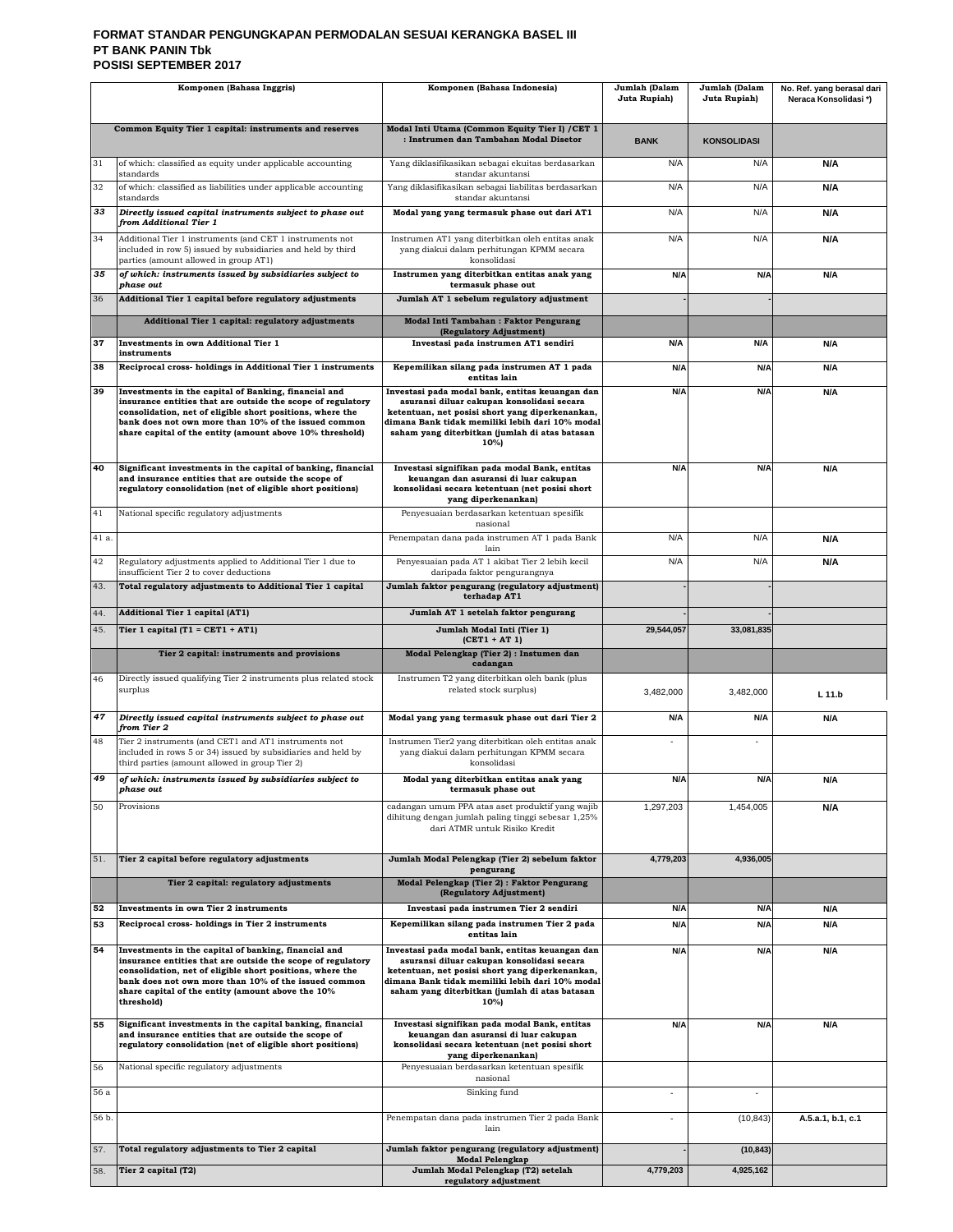#### **FORMAT STANDAR PENGUNGKAPAN PERMODALAN SESUAI KERANGKA BASEL III PT BANK PANIN Tbk POSISI SEPTEMBER 2017**

| Komponen (Bahasa Inggris) |                                                                                                                                                                                                                                                                                                             | Komponen (Bahasa Indonesia)                                                                                                                                                                                                                                     | Jumlah (Dalam<br>Juta Rupiah) | Jumlah (Dalam<br>Juta Rupiah) | No. Ref. yang berasal dari<br>Neraca Konsolidasi*) |
|---------------------------|-------------------------------------------------------------------------------------------------------------------------------------------------------------------------------------------------------------------------------------------------------------------------------------------------------------|-----------------------------------------------------------------------------------------------------------------------------------------------------------------------------------------------------------------------------------------------------------------|-------------------------------|-------------------------------|----------------------------------------------------|
|                           | Common Equity Tier 1 capital: instruments and reserves                                                                                                                                                                                                                                                      | Modal Inti Utama (Common Equity Tier I) / CET 1<br>: Instrumen dan Tambahan Modal Disetor                                                                                                                                                                       | <b>BANK</b>                   | <b>KONSOLIDASI</b>            |                                                    |
| 31                        | of which: classified as equity under applicable accounting<br>standards                                                                                                                                                                                                                                     | Yang diklasifikasikan sebagai ekuitas berdasarkan<br>standar akuntansi                                                                                                                                                                                          | N/A                           | N/A                           | N/A                                                |
| 32                        | of which: classified as liabilities under applicable accounting<br>standards                                                                                                                                                                                                                                | Yang diklasifikasikan sebagai liabilitas berdasarkan<br>standar akuntansi                                                                                                                                                                                       | N/A                           | N/A                           | N/A                                                |
| 33                        | Directly issued capital instruments subject to phase out<br>from Additional Tier 1                                                                                                                                                                                                                          | Modal yang yang termasuk phase out dari AT1                                                                                                                                                                                                                     | N/A                           | N/A                           | N/A                                                |
| 34                        | Additional Tier 1 instruments (and CET 1 instruments not<br>included in row 5) issued by subsidiaries and held by third<br>parties (amount allowed in group AT1)                                                                                                                                            | Instrumen AT1 yang diterbitkan oleh entitas anak<br>yang diakui dalam perhitungan KPMM secara<br>konsolidasi                                                                                                                                                    | N/A                           | N/A                           | N/A                                                |
| 35                        | of which: instruments issued by subsidiaries subject to<br>phase out                                                                                                                                                                                                                                        | Instrumen yang diterbitkan entitas anak yang<br>termasuk phase out                                                                                                                                                                                              | N/A                           | N/A                           | N/A                                                |
| 36                        | Additional Tier 1 capital before regulatory adjustments                                                                                                                                                                                                                                                     | Jumlah AT 1 sebelum regulatory adjustment                                                                                                                                                                                                                       |                               |                               |                                                    |
|                           | Additional Tier 1 capital: regulatory adjustments                                                                                                                                                                                                                                                           | Modal Inti Tambahan: Faktor Pengurang<br>(Regulatory Adjustment)                                                                                                                                                                                                |                               |                               |                                                    |
| 37                        | <b>Investments in own Additional Tier 1</b><br>instruments                                                                                                                                                                                                                                                  | Investasi pada instrumen AT1 sendiri                                                                                                                                                                                                                            | N/A                           | N/A                           | N/A                                                |
| 38                        | Reciprocal cross-holdings in Additional Tier 1 instruments                                                                                                                                                                                                                                                  | Kepemilikan silang pada instrumen AT 1 pada<br>entitas lain                                                                                                                                                                                                     | N/A                           | N/A                           | <b>N/A</b>                                         |
| 39                        | Investments in the capital of Banking, financial and<br>insurance entities that are outside the scope of regulatory<br>consolidation, net of eligible short positions, where the<br>bank does not own more than 10% of the issued common<br>share capital of the entity (amount above 10% threshold)        | Investasi pada modal bank, entitas keuangan dan<br>asuransi diluar cakupan konsolidasi secara<br>ketentuan, net posisi short yang diperkenankan,<br>dimana Bank tidak memiliki lebih dari 10% modal<br>saham yang diterbitkan (jumlah di atas batasan<br>$10\%$ | N/A                           | N/A                           | N/A                                                |
| 40                        | Significant investments in the capital of banking, financial<br>and insurance entities that are outside the scope of<br>regulatory consolidation (net of eligible short positions)                                                                                                                          | Investasi signifikan pada modal Bank, entitas<br>keuangan dan asuransi di luar cakupan<br>konsolidasi secara ketentuan (net posisi short<br>yang diperkenankan)                                                                                                 | N/A                           | N/A                           | N/A                                                |
| 41                        | National specific regulatory adjustments                                                                                                                                                                                                                                                                    | Penyesuaian berdasarkan ketentuan spesifik<br>nasional                                                                                                                                                                                                          |                               |                               |                                                    |
| 41 a.                     |                                                                                                                                                                                                                                                                                                             | Penempatan dana pada instrumen AT 1 pada Bank<br>lain                                                                                                                                                                                                           | N/A                           | N/A                           | N/A                                                |
| 42                        | Regulatory adjustments applied to Additional Tier 1 due to<br>insufficient Tier 2 to cover deductions                                                                                                                                                                                                       | Penyesuaian pada AT 1 akibat Tier 2 lebih kecil<br>daripada faktor pengurangnya                                                                                                                                                                                 | N/A                           | N/A                           | N/A                                                |
| 43.                       | Total regulatory adjustments to Additional Tier 1 capital                                                                                                                                                                                                                                                   | Jumlah faktor pengurang (regulatory adjustment)<br>terhadap AT1                                                                                                                                                                                                 |                               |                               |                                                    |
| 44.                       | Additional Tier 1 capital (AT1)                                                                                                                                                                                                                                                                             | Jumlah AT 1 setelah faktor pengurang                                                                                                                                                                                                                            |                               |                               |                                                    |
| 45.                       | Tier 1 capital $(T1 = CET1 + AT1)$                                                                                                                                                                                                                                                                          | Jumlah Modal Inti (Tier 1)<br>$(CET1 + AT1)$                                                                                                                                                                                                                    | 29,544,057                    | 33,081,835                    |                                                    |
|                           | Tier 2 capital: instruments and provisions                                                                                                                                                                                                                                                                  | Modal Pelengkap (Tier 2) : Instumen dan<br>cadangan                                                                                                                                                                                                             |                               |                               |                                                    |
| 46                        | Directly issued qualifying Tier 2 instruments plus related stock<br>surplus                                                                                                                                                                                                                                 | Instrumen T2 yang diterbitkan oleh bank (plus<br>related stock surplus)                                                                                                                                                                                         | 3,482,000                     | 3,482,000                     | $L$ 11.b                                           |
| 47                        | Directly issued capital instruments subject to phase out<br>from Tier 2                                                                                                                                                                                                                                     | Modal yang yang termasuk phase out dari Tier 2                                                                                                                                                                                                                  | N/A                           | N/A                           | N/A                                                |
| 48                        | Tier 2 instruments (and CET1 and AT1 instruments not<br>included in rows 5 or 34) issued by subsidiaries and held by<br>third parties (amount allowed in group Tier 2)                                                                                                                                      | Instrumen Tier2 yang diterbitkan oleh entitas anak<br>yang diakui dalam perhitungan KPMM secara<br>konsolidasi                                                                                                                                                  |                               |                               |                                                    |
|                           | of which: instruments issued by subsidiaries subject to<br>phase out                                                                                                                                                                                                                                        | Modal yang diterbitkan entitas anak yang<br>termasuk phase out                                                                                                                                                                                                  | N/A                           | N/A                           | N/A                                                |
| 50                        | Provisions                                                                                                                                                                                                                                                                                                  | cadangan umum PPA atas aset produktif yang wajib<br>dihitung dengan jumlah paling tinggi sebesar 1,25%<br>dari ATMR untuk Risiko Kredit                                                                                                                         | 1,297,203                     | 1,454,005                     | N/A                                                |
| 51.                       | Tier 2 capital before regulatory adjustments                                                                                                                                                                                                                                                                | Jumlah Modal Pelengkap (Tier 2) sebelum faktor<br>pengurang                                                                                                                                                                                                     | 4,779,203                     | 4,936,005                     |                                                    |
|                           | Tier 2 capital: regulatory adjustments                                                                                                                                                                                                                                                                      | Modal Pelengkap (Tier 2) : Faktor Pengurang<br>(Regulatory Adjustment)                                                                                                                                                                                          |                               |                               |                                                    |
| 52                        | Investments in own Tier 2 instruments                                                                                                                                                                                                                                                                       | Investasi pada instrumen Tier 2 sendiri                                                                                                                                                                                                                         | N/A                           | N/A                           | N/A                                                |
| 53                        | Reciprocal cross-holdings in Tier 2 instruments                                                                                                                                                                                                                                                             | Kepemilikan silang pada instrumen Tier 2 pada<br>entitas lain                                                                                                                                                                                                   | N/A                           | N/A                           | N/A                                                |
| 54                        | Investments in the capital of banking, financial and<br>insurance entities that are outside the scope of regulatory<br>consolidation, net of eligible short positions, where the<br>bank does not own more than 10% of the issued common<br>share capital of the entity (amount above the 10%<br>threshold) | Investasi pada modal bank, entitas keuangan dan<br>asuransi diluar cakupan konsolidasi secara<br>ketentuan, net posisi short yang diperkenankan,<br>dimana Bank tidak memiliki lebih dari 10% modal<br>saham yang diterbitkan (jumlah di atas batasan<br>10%)   | N/A                           | N/A                           | N/A                                                |
| 55                        | Significant investments in the capital banking, financial<br>and insurance entities that are outside the scope of<br>regulatory consolidation (net of eligible short positions)                                                                                                                             | Investasi signifikan pada modal Bank, entitas<br>keuangan dan asuransi di luar cakupan<br>konsolidasi secara ketentuan (net posisi short<br>yang diperkenankan)                                                                                                 | N/A                           | N/A                           | N/A                                                |
| 56                        | National specific regulatory adjustments                                                                                                                                                                                                                                                                    | Penyesuaian berdasarkan ketentuan spesifik<br>nasional                                                                                                                                                                                                          |                               |                               |                                                    |
| 56 a                      |                                                                                                                                                                                                                                                                                                             | Sinking fund                                                                                                                                                                                                                                                    | $\sim$                        | $\sim$                        |                                                    |
| 56 b.                     |                                                                                                                                                                                                                                                                                                             | Penempatan dana pada instrumen Tier 2 pada Bank<br>lain                                                                                                                                                                                                         | $\sim$                        | (10, 843)                     | A.5.a.1, b.1, c.1                                  |
| 57.                       | Total regulatory adjustments to Tier 2 capital                                                                                                                                                                                                                                                              | Jumlah faktor pengurang (regulatory adjustment)<br><b>Modal Pelengkap</b>                                                                                                                                                                                       |                               | (10, 843)                     |                                                    |
| 58.                       | Tier 2 capital (T2)                                                                                                                                                                                                                                                                                         | Jumlah Modal Pelengkap (T2) setelah<br>regulatory adjustment                                                                                                                                                                                                    | 4,779,203                     | 4,925,162                     |                                                    |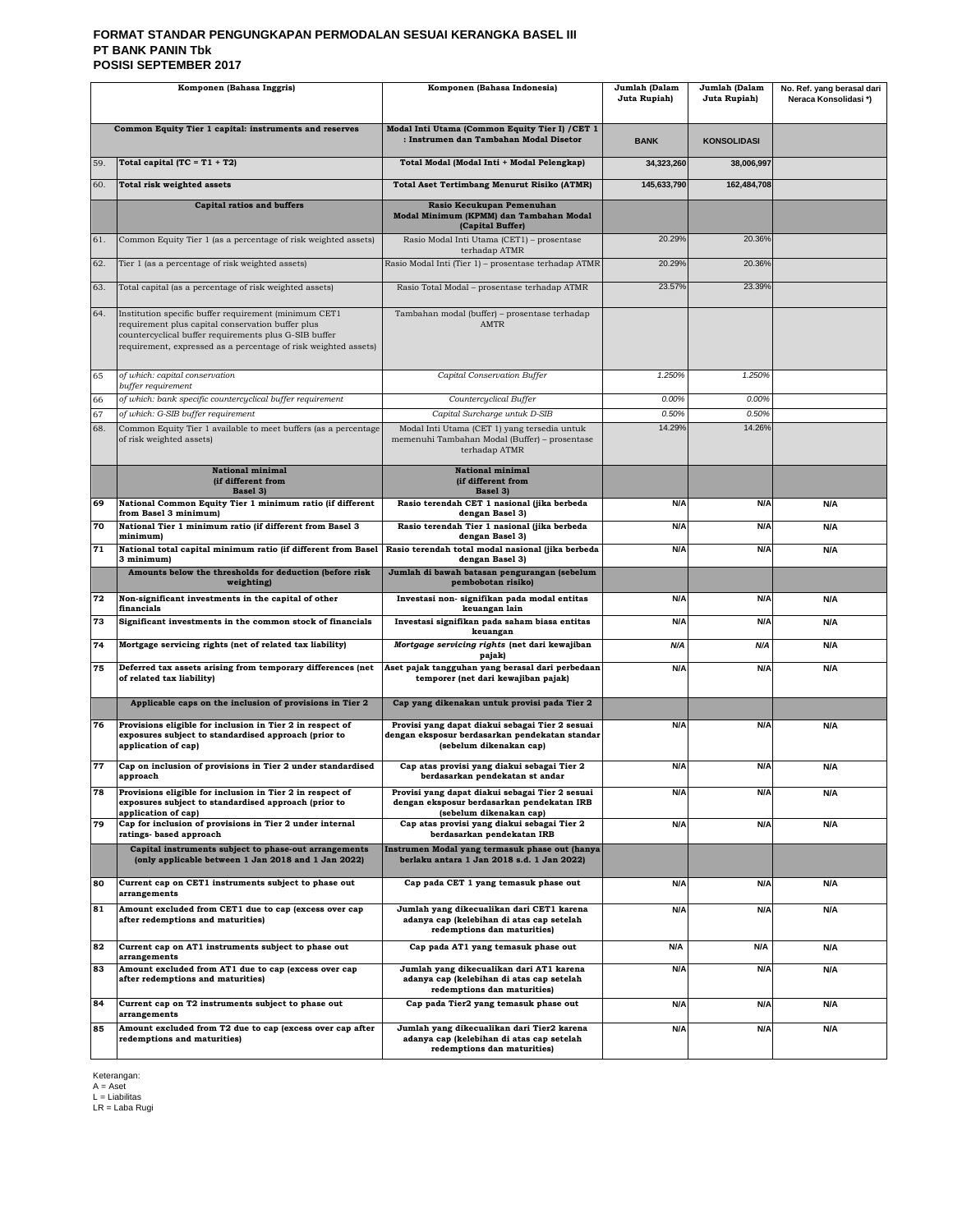#### **FORMAT STANDAR PENGUNGKAPAN PERMODALAN SESUAI KERANGKA BASEL III PT BANK PANIN Tbk POSISI SEPTEMBER 2017**

| Komponen (Bahasa Inggris)                                                                                                                                                                                                                     |                                                                                                                                          | Komponen (Bahasa Indonesia)                                                                                                  | Jumlah (Dalam<br>Juta Rupiah) | Jumlah (Dalam<br>Juta Rupiah) | No. Ref. yang berasal dari<br>Neraca Konsolidasi*) |
|-----------------------------------------------------------------------------------------------------------------------------------------------------------------------------------------------------------------------------------------------|------------------------------------------------------------------------------------------------------------------------------------------|------------------------------------------------------------------------------------------------------------------------------|-------------------------------|-------------------------------|----------------------------------------------------|
|                                                                                                                                                                                                                                               | Common Equity Tier 1 capital: instruments and reserves                                                                                   | Modal Inti Utama (Common Equity Tier I) / CET 1<br>: Instrumen dan Tambahan Modal Disetor                                    | <b>BANK</b>                   | <b>KONSOLIDASI</b>            |                                                    |
| 59.                                                                                                                                                                                                                                           | Total capital $(TC = T1 + T2)$                                                                                                           | Total Modal (Modal Inti + Modal Pelengkap)                                                                                   | 34,323,260                    | 38,006,997                    |                                                    |
| 60.                                                                                                                                                                                                                                           | <b>Total risk weighted assets</b>                                                                                                        | <b>Total Aset Tertimbang Menurut Risiko (ATMR)</b>                                                                           | 145,633,790                   | 162,484,708                   |                                                    |
|                                                                                                                                                                                                                                               | <b>Capital ratios and buffers</b>                                                                                                        | Rasio Kecukupan Pemenuhan<br>Modal Minimum (KPMM) dan Tambahan Modal<br>(Capital Buffer)                                     |                               |                               |                                                    |
| 61.                                                                                                                                                                                                                                           | Common Equity Tier 1 (as a percentage of risk weighted assets)                                                                           | Rasio Modal Inti Utama (CET1) - prosentase<br>terhadap ATMR                                                                  | 20.29%                        | 20.36%                        |                                                    |
| 62.                                                                                                                                                                                                                                           | Tier 1 (as a percentage of risk weighted assets)                                                                                         | Rasio Modal Inti (Tier 1) - prosentase terhadap ATMR                                                                         | 20.29%                        | 20.36%                        |                                                    |
| 63.                                                                                                                                                                                                                                           | Total capital (as a percentage of risk weighted assets)                                                                                  | Rasio Total Modal - prosentase terhadap ATMR                                                                                 | 23.57%                        | 23.39%                        |                                                    |
| 64.<br>Institution specific buffer requirement (minimum CET1<br>requirement plus capital conservation buffer plus<br>countercyclical buffer requirements plus G-SIB buffer<br>requirement, expressed as a percentage of risk weighted assets) |                                                                                                                                          | Tambahan modal (buffer) - prosentase terhadap<br><b>AMTR</b>                                                                 |                               |                               |                                                    |
| 65                                                                                                                                                                                                                                            | of which: capital conservation<br>buffer requirement                                                                                     | Capital Conservation Buffer                                                                                                  | 1.250%                        | 1.250%                        |                                                    |
| 66                                                                                                                                                                                                                                            | of which: bank specific countercyclical buffer requirement                                                                               | Countercyclical Buffer                                                                                                       | 0.00%                         | 0.00%                         |                                                    |
| 67                                                                                                                                                                                                                                            | of which: G-SIB buffer requirement                                                                                                       | Capital Surcharge untuk D-SIB                                                                                                | 0.50%<br>14.29%               | 0.50%<br>14.26%               |                                                    |
| 68.                                                                                                                                                                                                                                           | Common Equity Tier 1 available to meet buffers (as a percentage<br>of risk weighted assets)                                              | Modal Inti Utama (CET 1) yang tersedia untuk<br>memenuhi Tambahan Modal (Buffer) - prosentase<br>terhadap ATMR               |                               |                               |                                                    |
|                                                                                                                                                                                                                                               | <b>National minimal</b><br>(if different from<br>Basel 3)                                                                                | <b>National minimal</b><br>(if different from<br>Basel 3)                                                                    |                               |                               |                                                    |
| 69                                                                                                                                                                                                                                            | National Common Equity Tier 1 minimum ratio (if different<br>from Basel 3 minimum)                                                       | Rasio terendah CET 1 nasional (jika berbeda<br>dengan Basel 3)                                                               | N/A                           | N/A                           | N/A                                                |
| 70                                                                                                                                                                                                                                            | National Tier 1 minimum ratio (if different from Basel 3<br>minimum)                                                                     | Rasio terendah Tier 1 nasional (jika berbeda<br>dengan Basel 3)                                                              | N/A                           | N/A                           | N/A                                                |
| 71                                                                                                                                                                                                                                            | National total capital minimum ratio (if different from Basel<br>3 minimum)                                                              | Rasio terendah total modal nasional (jika berbeda<br>dengan Basel 3)                                                         | N/A                           | N/A                           | N/A                                                |
|                                                                                                                                                                                                                                               | Amounts below the thresholds for deduction (before risk<br>weighting)                                                                    | Jumlah di bawah batasan pengurangan (sebelum<br>pembobotan risiko)                                                           |                               |                               |                                                    |
| 72                                                                                                                                                                                                                                            | Non-significant investments in the capital of other<br>financials                                                                        | Investasi non- signifikan pada modal entitas<br>keuangan lain                                                                | N/A                           | N/A                           | N/A                                                |
| 73                                                                                                                                                                                                                                            | Significant investments in the common stock of financials                                                                                | Investasi signifikan pada saham biasa entitas<br>keuangan                                                                    | N/A                           | N/A                           | <b>N/A</b>                                         |
| 74                                                                                                                                                                                                                                            | Mortgage servicing rights (net of related tax liability)                                                                                 | Mortgage servicing rights (net dari kewajiban<br>pajak)                                                                      | N/A                           | N/A                           | N/A                                                |
| 75                                                                                                                                                                                                                                            | Deferred tax assets arising from temporary differences (net<br>of related tax liability)                                                 | Aset pajak tangguhan yang berasal dari perbedaan<br>temporer (net dari kewajiban pajak)                                      | N/A                           | N/A                           | N/A                                                |
|                                                                                                                                                                                                                                               | Applicable caps on the inclusion of provisions in Tier 2                                                                                 | Cap yang dikenakan untuk provisi pada Tier 2                                                                                 |                               |                               |                                                    |
| 76                                                                                                                                                                                                                                            | Provisions eligible for inclusion in Tier 2 in respect of<br>exposures subject to standardised approach (prior to<br>application of cap) | Provisi yang dapat diakui sebagai Tier 2 sesuai<br>dengan eksposur berdasarkan pendekatan standar<br>(sebelum dikenakan cap) | N/A                           | N/A                           | N/A                                                |
| 77                                                                                                                                                                                                                                            | Cap on inclusion of provisions in Tier 2 under standardised<br>approach                                                                  | Cap atas provisi yang diakui sebagai Tier 2<br>berdasarkan pendekatan st andar                                               | N/A                           | N/A                           | N/A                                                |
| 78                                                                                                                                                                                                                                            | Provisions eligible for inclusion in Tier 2 in respect of<br>exposures subject to standardised approach (prior to<br>application of cap) | Provisi yang dapat diakui sebagai Tier 2 sesuai<br>dengan eksposur berdasarkan pendekatan IRB<br>(sebelum dikenakan cap)     | N/A                           | N/A                           | N/A                                                |
| 79                                                                                                                                                                                                                                            | Cap for inclusion of provisions in Tier 2 under internal<br>ratings- based approach                                                      | Cap atas provisi yang diakui sebagai Tier 2<br>berdasarkan pendekatan IRB                                                    | N/A                           | N/A                           | N/A                                                |
|                                                                                                                                                                                                                                               | Capital instruments subject to phase-out arrangements<br>(only applicable between 1 Jan 2018 and 1 Jan 2022)                             | Instrumen Modal yang termasuk phase out (hanya<br>berlaku antara 1 Jan 2018 s.d. 1 Jan 2022)                                 |                               |                               |                                                    |
| 80                                                                                                                                                                                                                                            | Current cap on CET1 instruments subject to phase out<br>arrangements                                                                     | Cap pada CET 1 yang temasuk phase out                                                                                        | N/A                           | N/A                           | N/A                                                |
| 81                                                                                                                                                                                                                                            | Amount excluded from CET1 due to cap (excess over cap<br>after redemptions and maturities)                                               | Jumlah yang dikecualikan dari CET1 karena<br>adanya cap (kelebihan di atas cap setelah<br>redemptions dan maturities)        | N/A                           | N/A                           | N/A                                                |
| 82                                                                                                                                                                                                                                            | Current cap on AT1 instruments subject to phase out<br>arrangements                                                                      | Cap pada AT1 yang temasuk phase out                                                                                          | N/A                           | N/A                           | N/A                                                |
| 83                                                                                                                                                                                                                                            | Amount excluded from AT1 due to cap (excess over cap<br>after redemptions and maturities)                                                | Jumlah yang dikecualikan dari AT1 karena<br>adanya cap (kelebihan di atas cap setelah<br>redemptions dan maturities)         | N/A                           | N/A                           | N/A                                                |
| 84                                                                                                                                                                                                                                            | Current cap on T2 instruments subject to phase out<br>arrangements                                                                       | Cap pada Tier2 yang temasuk phase out                                                                                        | N/A                           | N/A                           | N/A                                                |
| 85<br>Amount excluded from T2 due to cap (excess over cap after<br>redemptions and maturities)                                                                                                                                                |                                                                                                                                          | Jumlah yang dikecualikan dari Tier2 karena<br>adanya cap (kelebihan di atas cap setelah<br>redemptions dan maturities)       | N/A                           | N/A                           | N/A                                                |

Keterangan: A = Aset L = Liabilitas LR = Laba Rugi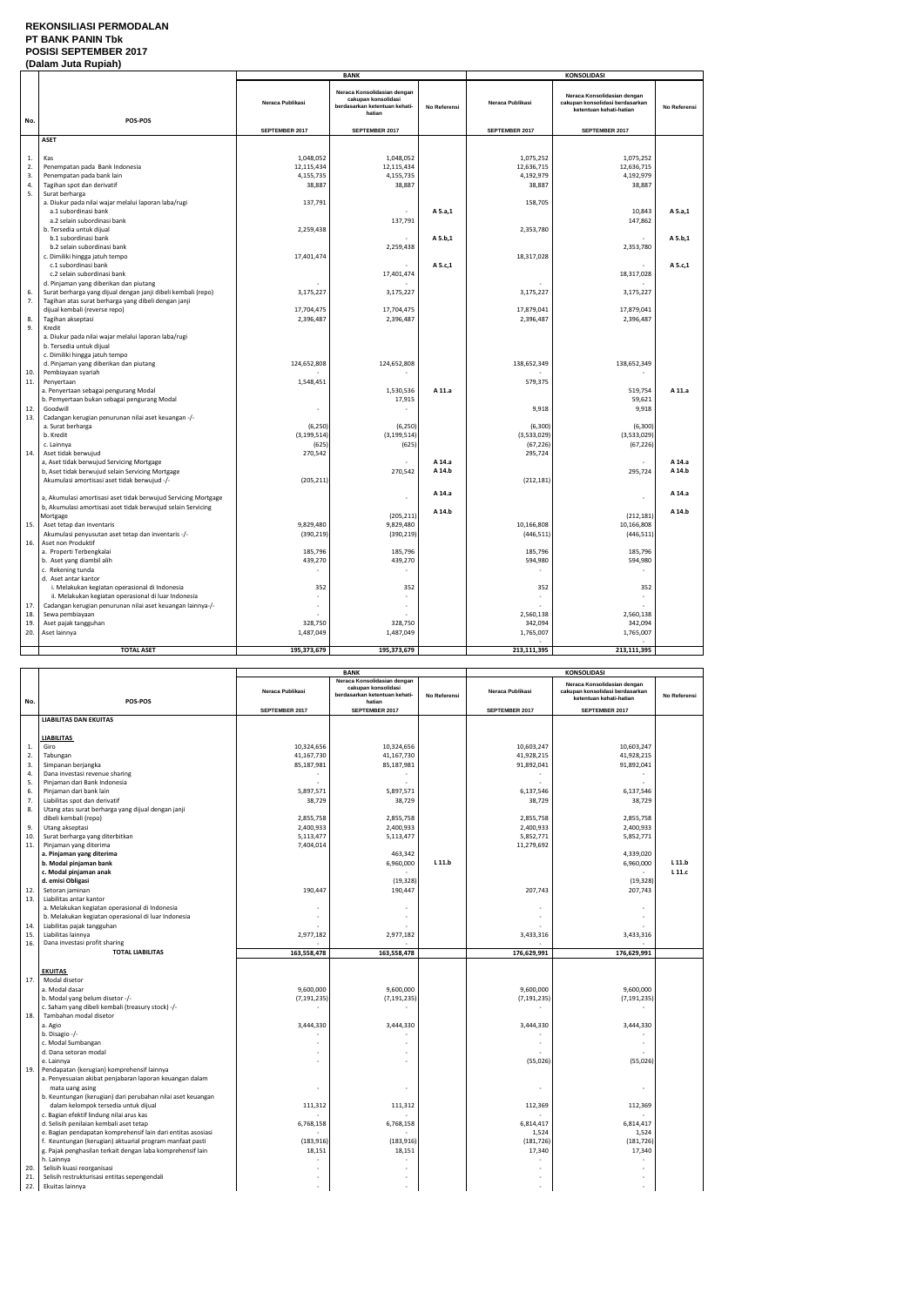### **REKONSILIASI PERMODALAN PT BANK PANIN Tbk POSISI SEPTEMBER 2017**

| No.<br>1.<br>2.<br>3.<br>4. | POS-POS<br><b>ASET</b><br>Kas<br>Penempatan pada Bank Indonesia<br>Penempatan pada bank lain<br>Tagihan spot dan derivatif<br>Surat berharga<br>a. Diukur pada nilai wajar melalui laporan laba/rugi<br>a.1 subordinasi bank<br>a.2 selain subordinasi bank<br>b. Tersedia untuk dijual | Neraca Publikasi<br>SEPTEMBER 2017<br>1,048,052<br>12,115,434<br>4,155,735<br>38,887<br>137,791 | <b>BANK</b><br>Neraca Konsolidasian dengan<br>cakupan konsolidasi<br>berdasarkan ketentuan kehati-<br>hatian<br>SEPTEMBER 2017<br>1,048,052<br>12,115,434<br>4,155,735<br>38,887 | No Referensi | Neraca Publikasi<br>SEPTEMBER 2017<br>1,075,252<br>12,636,715 | <b>KONSOLIDASI</b><br>Neraca Konsolidasian dengan<br>cakupan konsolidasi berdasarkan<br>ketentuan kehati-hatian<br>SEPTEMBER 2017<br>1,075,252 | No Referensi |
|-----------------------------|-----------------------------------------------------------------------------------------------------------------------------------------------------------------------------------------------------------------------------------------------------------------------------------------|-------------------------------------------------------------------------------------------------|----------------------------------------------------------------------------------------------------------------------------------------------------------------------------------|--------------|---------------------------------------------------------------|------------------------------------------------------------------------------------------------------------------------------------------------|--------------|
|                             |                                                                                                                                                                                                                                                                                         |                                                                                                 |                                                                                                                                                                                  |              |                                                               |                                                                                                                                                |              |
|                             |                                                                                                                                                                                                                                                                                         |                                                                                                 |                                                                                                                                                                                  |              |                                                               |                                                                                                                                                |              |
|                             |                                                                                                                                                                                                                                                                                         |                                                                                                 |                                                                                                                                                                                  |              |                                                               |                                                                                                                                                |              |
|                             |                                                                                                                                                                                                                                                                                         |                                                                                                 |                                                                                                                                                                                  |              |                                                               |                                                                                                                                                |              |
|                             |                                                                                                                                                                                                                                                                                         |                                                                                                 |                                                                                                                                                                                  |              |                                                               |                                                                                                                                                |              |
|                             |                                                                                                                                                                                                                                                                                         |                                                                                                 |                                                                                                                                                                                  |              |                                                               |                                                                                                                                                |              |
|                             |                                                                                                                                                                                                                                                                                         |                                                                                                 |                                                                                                                                                                                  |              |                                                               | 12,636,715                                                                                                                                     |              |
|                             |                                                                                                                                                                                                                                                                                         |                                                                                                 |                                                                                                                                                                                  |              | 4,192,979                                                     | 4,192,979                                                                                                                                      |              |
|                             |                                                                                                                                                                                                                                                                                         |                                                                                                 |                                                                                                                                                                                  |              | 38,887                                                        | 38,887                                                                                                                                         |              |
| 5.                          |                                                                                                                                                                                                                                                                                         |                                                                                                 |                                                                                                                                                                                  |              |                                                               |                                                                                                                                                |              |
|                             |                                                                                                                                                                                                                                                                                         |                                                                                                 |                                                                                                                                                                                  | A 5.a,1      | 158,705                                                       | 10,843                                                                                                                                         | A 5.a,1      |
|                             |                                                                                                                                                                                                                                                                                         |                                                                                                 | 137,791                                                                                                                                                                          |              |                                                               | 147,862                                                                                                                                        |              |
|                             |                                                                                                                                                                                                                                                                                         | 2,259,438                                                                                       |                                                                                                                                                                                  |              | 2,353,780                                                     |                                                                                                                                                |              |
|                             | b.1 subordinasi bank                                                                                                                                                                                                                                                                    |                                                                                                 |                                                                                                                                                                                  | A 5.b,1      |                                                               |                                                                                                                                                | A 5.b,1      |
|                             | b.2 selain subordinasi bank                                                                                                                                                                                                                                                             |                                                                                                 | 2,259,438                                                                                                                                                                        |              |                                                               | 2,353,780                                                                                                                                      |              |
|                             | c. Dimiliki hingga jatuh tempo                                                                                                                                                                                                                                                          | 17,401,474                                                                                      |                                                                                                                                                                                  |              | 18,317,028                                                    |                                                                                                                                                |              |
|                             | c.1 subordinasi bank                                                                                                                                                                                                                                                                    |                                                                                                 |                                                                                                                                                                                  | A 5.c,1      |                                                               |                                                                                                                                                | A 5.c,1      |
|                             | c.2 selain subordinasi bank                                                                                                                                                                                                                                                             |                                                                                                 | 17,401,474                                                                                                                                                                       |              |                                                               | 18,317,028                                                                                                                                     |              |
|                             | d. Pinjaman yang diberikan dan piutang                                                                                                                                                                                                                                                  |                                                                                                 |                                                                                                                                                                                  |              |                                                               |                                                                                                                                                |              |
| 6.                          | Surat berharga yang dijual dengan janji dibeli kembali (repo)                                                                                                                                                                                                                           | 3,175,227                                                                                       | 3,175,227                                                                                                                                                                        |              | 3,175,227                                                     | 3,175,227                                                                                                                                      |              |
| 7.                          | Tagihan atas surat berharga yang dibeli dengan janji<br>dijual kembali (reverse repo)                                                                                                                                                                                                   | 17,704,475                                                                                      | 17,704,475                                                                                                                                                                       |              | 17,879,041                                                    | 17,879,041                                                                                                                                     |              |
| 8.                          | Tagihan akseptasi                                                                                                                                                                                                                                                                       | 2,396,487                                                                                       | 2,396,487                                                                                                                                                                        |              | 2,396,487                                                     | 2,396,487                                                                                                                                      |              |
| 9.                          | Kredit                                                                                                                                                                                                                                                                                  |                                                                                                 |                                                                                                                                                                                  |              |                                                               |                                                                                                                                                |              |
|                             | a. Diukur pada nilai wajar melalui laporan laba/rugi<br>b. Tersedia untuk dijual<br>c. Dimiliki hingga jatuh tempo                                                                                                                                                                      |                                                                                                 |                                                                                                                                                                                  |              |                                                               |                                                                                                                                                |              |
|                             | d. Pinjaman yang diberikan dan piutang                                                                                                                                                                                                                                                  | 124,652,808                                                                                     | 124,652,808                                                                                                                                                                      |              | 138,652,349                                                   | 138,652,349                                                                                                                                    |              |
| 10.                         | Pembiayaan syariah                                                                                                                                                                                                                                                                      |                                                                                                 |                                                                                                                                                                                  |              |                                                               |                                                                                                                                                |              |
| 11.                         | Penyertaan                                                                                                                                                                                                                                                                              | 1,548,451                                                                                       |                                                                                                                                                                                  |              | 579,375                                                       |                                                                                                                                                |              |
|                             | a. Penyertaan sebagai pengurang Modal                                                                                                                                                                                                                                                   |                                                                                                 | 1,530,536                                                                                                                                                                        | A 11.a       |                                                               | 519,754                                                                                                                                        | A 11.a       |
|                             | b. Pemyertaan bukan sebagai pengurang Modal                                                                                                                                                                                                                                             |                                                                                                 | 17,915                                                                                                                                                                           |              |                                                               | 59,621                                                                                                                                         |              |
| 12.                         | Goodwill                                                                                                                                                                                                                                                                                | ÷,                                                                                              |                                                                                                                                                                                  |              | 9,918                                                         | 9,918                                                                                                                                          |              |
| 13.                         | Cadangan kerugian penurunan nilai aset keuangan -/-                                                                                                                                                                                                                                     |                                                                                                 |                                                                                                                                                                                  |              |                                                               |                                                                                                                                                |              |
|                             | a. Surat berharga<br>b. Kredit                                                                                                                                                                                                                                                          | (6, 250)                                                                                        | (6, 250)                                                                                                                                                                         |              | (6, 300)<br>(3,533,029)                                       | (6, 300)<br>(3,533,029)                                                                                                                        |              |
|                             | c. Lainnya                                                                                                                                                                                                                                                                              | (3, 199, 514)<br>(625)                                                                          | (3, 199, 514)<br>(625)                                                                                                                                                           |              | (67, 226)                                                     | (67, 226)                                                                                                                                      |              |
| 14.                         | Aset tidak berwujud                                                                                                                                                                                                                                                                     | 270,542                                                                                         |                                                                                                                                                                                  |              | 295,724                                                       |                                                                                                                                                |              |
|                             | a, Aset tidak berwujud Servicing Mortgage                                                                                                                                                                                                                                               |                                                                                                 |                                                                                                                                                                                  | A 14.a       |                                                               |                                                                                                                                                | A 14.a       |
|                             | b, Aset tidak berwujud selain Servicing Mortgage                                                                                                                                                                                                                                        |                                                                                                 | 270,542                                                                                                                                                                          | A 14.b       |                                                               | 295,724                                                                                                                                        | A 14.b       |
|                             | Akumulasi amortisasi aset tidak berwujud -/-                                                                                                                                                                                                                                            | (205, 211)                                                                                      |                                                                                                                                                                                  |              | (212, 181)                                                    |                                                                                                                                                |              |
|                             |                                                                                                                                                                                                                                                                                         |                                                                                                 |                                                                                                                                                                                  | A 14.a       |                                                               |                                                                                                                                                | A 14.a       |
|                             | a, Akumulasi amortisasi aset tidak berwujud Servicing Mortgage                                                                                                                                                                                                                          |                                                                                                 | $\overline{a}$                                                                                                                                                                   |              |                                                               |                                                                                                                                                |              |
|                             | b, Akumulasi amortisasi aset tidak berwujud selain Servicing                                                                                                                                                                                                                            |                                                                                                 |                                                                                                                                                                                  | A 14.b       |                                                               |                                                                                                                                                | A 14.b       |
|                             | Mortgage                                                                                                                                                                                                                                                                                |                                                                                                 | (205, 211)                                                                                                                                                                       |              |                                                               | (212, 181)                                                                                                                                     |              |
| 15.                         | Aset tetap dan inventaris                                                                                                                                                                                                                                                               | 9,829,480                                                                                       | 9,829,480                                                                                                                                                                        |              | 10,166,808                                                    | 10,166,808                                                                                                                                     |              |
| 16.                         | Akumulasi penyusutan aset tetap dan inventaris -/-<br>Aset non Produktif                                                                                                                                                                                                                | (390, 219)                                                                                      | (390, 219)                                                                                                                                                                       |              | (446, 511)                                                    | (446, 511)                                                                                                                                     |              |
|                             | a. Properti Terbengkalai                                                                                                                                                                                                                                                                | 185,796                                                                                         | 185,796                                                                                                                                                                          |              | 185,796                                                       | 185,796                                                                                                                                        |              |
|                             | b. Aset yang diambil alih                                                                                                                                                                                                                                                               | 439,270                                                                                         | 439,270                                                                                                                                                                          |              | 594,980                                                       | 594,980                                                                                                                                        |              |
|                             | c. Rekening tunda                                                                                                                                                                                                                                                                       |                                                                                                 |                                                                                                                                                                                  |              |                                                               |                                                                                                                                                |              |
|                             | d. Aset antar kantor                                                                                                                                                                                                                                                                    |                                                                                                 |                                                                                                                                                                                  |              |                                                               |                                                                                                                                                |              |
|                             | i. Melakukan kegiatan operasional di Indonesia                                                                                                                                                                                                                                          | 352                                                                                             | 352                                                                                                                                                                              |              | 352                                                           | 352                                                                                                                                            |              |
|                             | ii. Melakukan kegiatan operasional di luar Indonesia                                                                                                                                                                                                                                    |                                                                                                 |                                                                                                                                                                                  |              |                                                               |                                                                                                                                                |              |
| 17.                         | Cadangan kerugian penurunan nilai aset keuangan lainnya-/-                                                                                                                                                                                                                              |                                                                                                 |                                                                                                                                                                                  |              |                                                               |                                                                                                                                                |              |
| 18.                         | Sewa pembiayaan                                                                                                                                                                                                                                                                         |                                                                                                 |                                                                                                                                                                                  |              | 2,560,138                                                     | 2,560,138                                                                                                                                      |              |
| 19.                         | Aset pajak tangguhan                                                                                                                                                                                                                                                                    | 328,750                                                                                         | 328,750                                                                                                                                                                          |              | 342,094                                                       | 342,094                                                                                                                                        |              |
| 20.                         | Aset lainnya                                                                                                                                                                                                                                                                            | 1,487,049                                                                                       | 1,487,049                                                                                                                                                                        |              | 1,765,007                                                     | 1,765,007                                                                                                                                      |              |
|                             | <b>TOTAL ASET</b>                                                                                                                                                                                                                                                                       | 195,373,679                                                                                     | 195,373,679                                                                                                                                                                      |              | 213,111,395                                                   | 213,111,395                                                                                                                                    |              |

|            |                                                                             |                          | <b>BANK</b>                                                                                   |              | <b>KONSOLIDASI</b>       |                                                                                           |              |
|------------|-----------------------------------------------------------------------------|--------------------------|-----------------------------------------------------------------------------------------------|--------------|--------------------------|-------------------------------------------------------------------------------------------|--------------|
| No.        | POS-POS                                                                     | Neraca Publikasi         | Neraca Konsolidasian dengan<br>cakupan konsolidasi<br>berdasarkan ketentuan kehati-<br>hatian | No Referensi | Neraca Publikasi         | Neraca Konsolidasian dengan<br>cakupan konsolidasi berdasarkan<br>ketentuan kehati-hatian | No Referensi |
|            |                                                                             | SEPTEMBER 2017           | SEPTEMBER 2017                                                                                |              | SEPTEMBER 2017           | SEPTEMBER 2017                                                                            |              |
|            | <b>LIABILITAS DAN EKUITAS</b>                                               |                          |                                                                                               |              |                          |                                                                                           |              |
|            |                                                                             |                          |                                                                                               |              |                          |                                                                                           |              |
|            | <b>LIABILITAS</b>                                                           |                          |                                                                                               |              |                          |                                                                                           |              |
| 1.<br>2.   | Giro<br>Tabungan                                                            | 10,324,656<br>41,167,730 | 10,324,656<br>41,167,730                                                                      |              | 10,603,247<br>41,928,215 | 10,603,247<br>41,928,215                                                                  |              |
| 3.         | Simpanan berjangka                                                          | 85,187,981               | 85,187,981                                                                                    |              | 91,892,041               | 91,892,041                                                                                |              |
| 4.         | Dana investasi revenue sharing                                              |                          |                                                                                               |              |                          | $\sim$                                                                                    |              |
| 5.         | Pinjaman dari Bank Indonesia                                                |                          |                                                                                               |              |                          | $\mathbf{r}$                                                                              |              |
| 6.         | Pinjaman dari bank lain                                                     | 5,897,571                | 5,897,571                                                                                     |              | 6,137,546                | 6,137,546                                                                                 |              |
| 7.         | Liabilitas spot dan derivatif                                               | 38,729                   | 38,729                                                                                        |              | 38,729                   | 38,729                                                                                    |              |
| 8.         | Utang atas surat berharga yang dijual dengan janji                          |                          |                                                                                               |              |                          |                                                                                           |              |
|            | dibeli kembali (repo)                                                       | 2,855,758                | 2,855,758                                                                                     |              | 2,855,758                | 2,855,758                                                                                 |              |
| 9.         | Utang akseptasi                                                             | 2,400,933                | 2,400,933                                                                                     |              | 2,400,933                | 2,400,933                                                                                 |              |
| 10.        | Surat berharga yang diterbitkan                                             | 5,113,477                | 5,113,477                                                                                     |              | 5,852,771                | 5,852,771                                                                                 |              |
| 11.        | Pinjaman yang diterima                                                      | 7,404,014                |                                                                                               |              | 11,279,692               |                                                                                           |              |
|            | a. Pinjaman yang diterima                                                   |                          | 463,342                                                                                       |              |                          | 4,339,020                                                                                 |              |
|            | b. Modal pinjaman bank                                                      |                          | 6,960,000                                                                                     | L 11.b       |                          | 6,960,000                                                                                 | L 11.b       |
|            | c. Modal pinjaman anak                                                      |                          |                                                                                               |              |                          |                                                                                           | L 11.c       |
|            | d. emisi Obligasi                                                           |                          | (19, 328)                                                                                     |              |                          | (19, 328)                                                                                 |              |
| 12.<br>13. | Setoran jaminan<br>Liabilitas antar kantor                                  | 190,447                  | 190,447                                                                                       |              | 207,743                  | 207,743                                                                                   |              |
|            | a. Melakukan kegiatan operasional di Indonesia                              |                          |                                                                                               |              |                          |                                                                                           |              |
|            | b. Melakukan kegiatan operasional di luar Indonesia                         |                          | $\sim$                                                                                        |              |                          | ä,                                                                                        |              |
| 14.        | Liabilitas pajak tangguhan                                                  |                          |                                                                                               |              |                          |                                                                                           |              |
| 15.        | Liabilitas lainnya                                                          | 2,977,182                | 2,977,182                                                                                     |              | 3,433,316                | 3,433,316                                                                                 |              |
| 16.        | Dana investasi profit sharing                                               |                          |                                                                                               |              |                          |                                                                                           |              |
|            | <b>TOTAL LIABILITAS</b>                                                     | 163,558,478              | 163,558,478                                                                                   |              | 176,629,991              | 176,629,991                                                                               |              |
|            |                                                                             |                          |                                                                                               |              |                          |                                                                                           |              |
|            | <b>EKUITAS</b>                                                              |                          |                                                                                               |              |                          |                                                                                           |              |
| 17.        | Modal disetor                                                               |                          |                                                                                               |              |                          |                                                                                           |              |
|            | a. Modal dasar                                                              | 9,600,000                | 9,600,000                                                                                     |              | 9,600,000                | 9,600,000                                                                                 |              |
|            | b. Modal yang belum disetor -/-                                             | (7, 191, 235)            | (7, 191, 235)                                                                                 |              | (7, 191, 235)            | (7, 191, 235)                                                                             |              |
|            | c. Saham yang dibeli kembali (treasury stock) -/-<br>Tambahan modal disetor |                          |                                                                                               |              |                          |                                                                                           |              |
| 18.        | a. Agio                                                                     | 3,444,330                | 3,444,330                                                                                     |              | 3,444,330                | 3,444,330                                                                                 |              |
|            | b. Disagio -/-                                                              |                          |                                                                                               |              |                          |                                                                                           |              |
|            | c. Modal Sumbangan                                                          |                          |                                                                                               |              |                          |                                                                                           |              |
|            | d. Dana setoran modal                                                       |                          |                                                                                               |              |                          |                                                                                           |              |
|            | e. Lainnya                                                                  |                          |                                                                                               |              | (55,026)                 | (55, 026)                                                                                 |              |
| 19.        | Pendapatan (kerugian) komprehensif lainnya                                  |                          |                                                                                               |              |                          |                                                                                           |              |
|            | a. Penyesuaian akibat penjabaran laporan keuangan dalam                     |                          |                                                                                               |              |                          |                                                                                           |              |
|            | mata uang asing                                                             |                          |                                                                                               |              |                          |                                                                                           |              |
|            | b. Keuntungan (kerugian) dari perubahan nilai aset keuangan                 |                          |                                                                                               |              |                          |                                                                                           |              |
|            | dalam kelompok tersedia untuk dijual                                        | 111,312                  | 111,312                                                                                       |              | 112,369                  | 112,369                                                                                   |              |
|            | c. Bagian efektif lindung nilai arus kas                                    |                          |                                                                                               |              |                          |                                                                                           |              |
|            | d. Selisih penilaian kembali aset tetap                                     | 6,768,158                | 6,768,158                                                                                     |              | 6,814,417                | 6,814,417                                                                                 |              |
|            | e. Bagian pendapatan komprehensif lain dari entitas asosiasi                |                          |                                                                                               |              | 1,524                    | 1,524                                                                                     |              |
|            | f. Keuntungan (kerugian) aktuarial program manfaat pasti                    | (183, 916)               | (183, 916)                                                                                    |              | (181, 726)               | (181, 726)                                                                                |              |
|            | g. Pajak penghasilan terkait dengan laba komprehensif lain<br>h. Lainnya    | 18,151                   | 18,151                                                                                        |              | 17,340                   | 17,340                                                                                    |              |
| 20.        | Selisih kuasi reorganisasi                                                  |                          |                                                                                               |              |                          |                                                                                           |              |
| 21.        | Selisih restrukturisasi entitas sepengendali                                |                          |                                                                                               |              |                          |                                                                                           |              |
| 22.        | Ekuitas lainnya                                                             |                          |                                                                                               |              |                          |                                                                                           |              |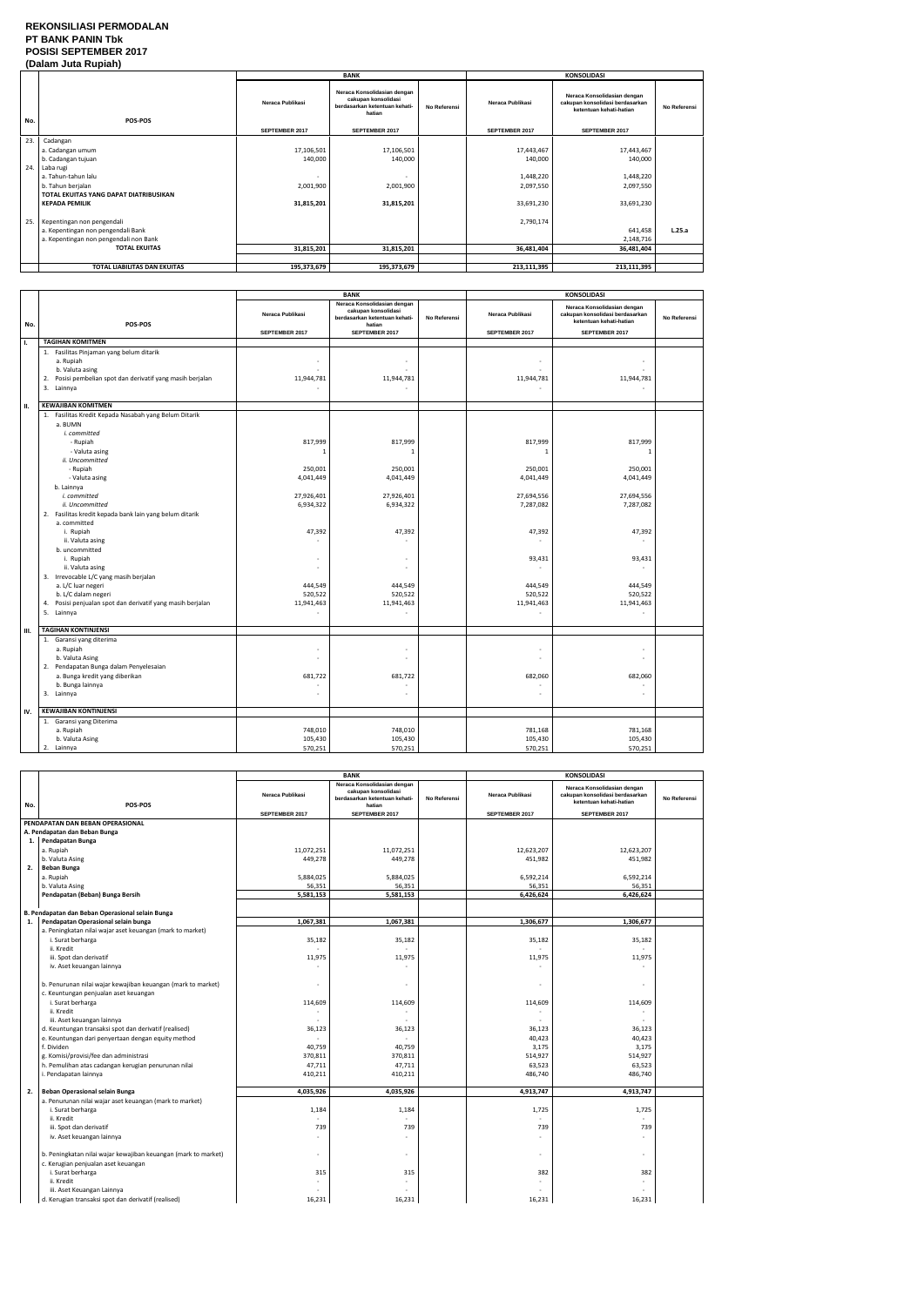### **REKONSILIASI PERMODALAN PT BANK PANIN Tbk POSISI SEPTEMBER 2017 (Dalam Juta Rupiah)**

|      | palam vula Ruplan                      |                       |                                                                                               |                     |                       |                                                                                           |              |  |
|------|----------------------------------------|-----------------------|-----------------------------------------------------------------------------------------------|---------------------|-----------------------|-------------------------------------------------------------------------------------------|--------------|--|
|      |                                        |                       | <b>BANK</b>                                                                                   |                     |                       | <b>KONSOLIDASI</b>                                                                        |              |  |
| No.  | POS-POS                                | Neraca Publikasi      | Neraca Konsolidasian dengan<br>cakupan konsolidasi<br>berdasarkan ketentuan kehati-<br>hatian | <b>No Referensi</b> | Neraca Publikasi      | Neraca Konsolidasian dengan<br>cakupan konsolidasi berdasarkan<br>ketentuan kehati-hatian | No Referensi |  |
|      |                                        | <b>SEPTEMBER 2017</b> | <b>SEPTEMBER 2017</b>                                                                         |                     | <b>SEPTEMBER 2017</b> | <b>SEPTEMBER 2017</b>                                                                     |              |  |
| 23.  | Cadangan                               |                       |                                                                                               |                     |                       |                                                                                           |              |  |
|      | a. Cadangan umum                       | 17,106,501            | 17,106,501                                                                                    |                     | 17,443,467            | 17,443,467                                                                                |              |  |
|      | b. Cadangan tujuan                     | 140,000               | 140,000                                                                                       |                     | 140,000               | 140,000                                                                                   |              |  |
| 24.  | Laba rugi                              |                       |                                                                                               |                     |                       |                                                                                           |              |  |
|      | a. Tahun-tahun lalu                    |                       |                                                                                               |                     | 1,448,220             | 1,448,220                                                                                 |              |  |
|      | b. Tahun berjalan                      | 2,001,900             | 2,001,900                                                                                     |                     | 2,097,550             | 2,097,550                                                                                 |              |  |
|      | TOTAL EKUITAS YANG DAPAT DIATRIBUSIKAN |                       |                                                                                               |                     |                       |                                                                                           |              |  |
|      | <b>KEPADA PEMILIK</b>                  | 31,815,201            | 31,815,201                                                                                    |                     | 33,691,230            | 33,691,230                                                                                |              |  |
|      |                                        |                       |                                                                                               |                     |                       |                                                                                           |              |  |
| 25.1 | Kepentingan non pengendali             |                       |                                                                                               |                     | 2,790,174             |                                                                                           |              |  |
|      | a. Kepentingan non pengendali Bank     |                       |                                                                                               |                     |                       | 641,458                                                                                   | L.25.a       |  |
|      | a. Kepentingan non pengendali non Bank |                       |                                                                                               |                     |                       | 2,148,716                                                                                 |              |  |
|      | <b>TOTAL EKUITAS</b>                   | 31,815,201            | 31,815,201                                                                                    |                     | 36,481,404            | 36,481,404                                                                                |              |  |
|      |                                        |                       |                                                                                               |                     |                       |                                                                                           |              |  |
|      | TOTAL LIABILITAS DAN EKUITAS           | 195,373,679           | 195,373,679                                                                                   |                     | 213,111,395           | 213,111,395                                                                               |              |  |

|     |                                                                                                                                                                                                                                                                                                                                                                                                                                                                                                                                                    |                                                                                                                                     | <b>BANK</b>                                                                                                                                                |              | <b>KONSOLIDASI</b>                                                                                                                 |                                                                                                                          |              |
|-----|----------------------------------------------------------------------------------------------------------------------------------------------------------------------------------------------------------------------------------------------------------------------------------------------------------------------------------------------------------------------------------------------------------------------------------------------------------------------------------------------------------------------------------------------------|-------------------------------------------------------------------------------------------------------------------------------------|------------------------------------------------------------------------------------------------------------------------------------------------------------|--------------|------------------------------------------------------------------------------------------------------------------------------------|--------------------------------------------------------------------------------------------------------------------------|--------------|
| No. | POS-POS                                                                                                                                                                                                                                                                                                                                                                                                                                                                                                                                            | Neraca Publikasi                                                                                                                    | Neraca Konsolidasian dengan<br>cakupan konsolidasi<br>berdasarkan ketentuan kehati-<br>hatian                                                              | No Referensi | Neraca Publikasi                                                                                                                   | Neraca Konsolidasian dengan<br>cakupan konsolidasi berdasarkan<br>ketentuan kehati-hatian                                | No Referensi |
|     |                                                                                                                                                                                                                                                                                                                                                                                                                                                                                                                                                    | <b>SEPTEMBER 2017</b>                                                                                                               | <b>SEPTEMBER 2017</b>                                                                                                                                      |              | <b>SEPTEMBER 2017</b>                                                                                                              | <b>SEPTEMBER 2017</b>                                                                                                    |              |
| Τ.  | <b>TAGIHAN KOMITMEN</b>                                                                                                                                                                                                                                                                                                                                                                                                                                                                                                                            |                                                                                                                                     |                                                                                                                                                            |              |                                                                                                                                    |                                                                                                                          |              |
|     | 1. Fasilitas Pinjaman yang belum ditarik<br>a. Rupiah<br>b. Valuta asing<br>Posisi pembelian spot dan derivatif yang masih berjalan<br>2.<br>3. Lainnya                                                                                                                                                                                                                                                                                                                                                                                            | 11,944,781                                                                                                                          | ÷,<br>11,944,781<br>$\sim$                                                                                                                                 |              | 11,944,781                                                                                                                         | 11,944,781                                                                                                               |              |
| П.  | <b>KEWAJIBAN KOMITMEN</b>                                                                                                                                                                                                                                                                                                                                                                                                                                                                                                                          |                                                                                                                                     |                                                                                                                                                            |              |                                                                                                                                    |                                                                                                                          |              |
|     | 1. Fasilitas Kredit Kepada Nasabah yang Belum Ditarik<br>a. BUMN<br>i. committed<br>- Rupiah<br>- Valuta asing<br>ii. Uncommitted<br>- Rupiah<br>- Valuta asing<br>b. Lainnya<br>i. committed<br>ii. Uncommitted<br>2. Fasilitas kredit kepada bank lain yang belum ditarik<br>a. committed<br>i. Rupiah<br>ii. Valuta asing<br>b. uncommitted<br>i. Rupiah<br>ii. Valuta asing<br>3. Irrevocable L/C yang masih berjalan<br>a. L/C luar negeri<br>b. L/C dalam negeri<br>4. Posisi penjualan spot dan derivatif yang masih berjalan<br>5. Lainnya | 817,999<br>$\mathbf{1}$<br>250,001<br>4,041,449<br>27,926,401<br>6,934,322<br>47,392<br>٠<br>÷,<br>444,549<br>520,522<br>11,941,463 | 817,999<br>-1<br>250,001<br>4,041,449<br>27,926,401<br>6,934,322<br>47,392<br>$\overline{\phantom{a}}$<br>ä,<br>444,549<br>520,522<br>11,941,463<br>$\sim$ |              | 817,999<br>$\mathbf{1}$<br>250,001<br>4,041,449<br>27,694,556<br>7,287,082<br>47,392<br>93,431<br>444,549<br>520,522<br>11,941,463 | 817,999<br>-1<br>250,001<br>4,041,449<br>27,694,556<br>7,287,082<br>47,392<br>93,431<br>444,549<br>520,522<br>11,941,463 |              |
|     |                                                                                                                                                                                                                                                                                                                                                                                                                                                                                                                                                    |                                                                                                                                     |                                                                                                                                                            |              |                                                                                                                                    |                                                                                                                          |              |
| ш.  | <b>TAGIHAN KONTINJENSI</b>                                                                                                                                                                                                                                                                                                                                                                                                                                                                                                                         |                                                                                                                                     |                                                                                                                                                            |              |                                                                                                                                    |                                                                                                                          |              |
|     | 1. Garansi yang diterima<br>a. Rupiah<br>b. Valuta Asing<br>2. Pendapatan Bunga dalam Penyelesaian<br>a. Bunga kredit yang diberikan<br>b. Bunga lainnya<br>3. Lainnya                                                                                                                                                                                                                                                                                                                                                                             | ٠<br>ä,<br>681,722<br>ä,                                                                                                            | $\sim$<br>$\bar{a}$<br>681,722<br>$\overline{a}$<br>$\bar{a}$                                                                                              |              | 682,060                                                                                                                            | $\overline{\phantom{a}}$<br>L.<br>682,060<br>$\overline{a}$<br>ä,                                                        |              |
| IV. | <b>KEWAJIBAN KONTINJENSI</b>                                                                                                                                                                                                                                                                                                                                                                                                                                                                                                                       |                                                                                                                                     |                                                                                                                                                            |              |                                                                                                                                    |                                                                                                                          |              |
|     | 1. Garansi yang Diterima<br>a. Rupiah<br>b. Valuta Asing<br>2. Lainnya                                                                                                                                                                                                                                                                                                                                                                                                                                                                             | 748,010<br>105,430<br>570,251                                                                                                       | 748,010<br>105,430<br>570,251                                                                                                                              |              | 781,168<br>105,430<br>570,251                                                                                                      | 781,168<br>105,430<br>570,251                                                                                            |              |

|     |                                                                | <b>BANK</b>             |                                                                                               |              | <b>KONSOLIDASI</b>    |                                                                                           |              |
|-----|----------------------------------------------------------------|-------------------------|-----------------------------------------------------------------------------------------------|--------------|-----------------------|-------------------------------------------------------------------------------------------|--------------|
| No. | POS-POS                                                        | <b>Neraca Publikasi</b> | Neraca Konsolidasian dengan<br>cakupan konsolidasi<br>berdasarkan ketentuan kehati-<br>hatian | No Referensi | Neraca Publikasi      | Neraca Konsolidasian dengan<br>cakupan konsolidasi berdasarkan<br>ketentuan kehati-hatian | No Referensi |
|     |                                                                | SEPTEMBER 2017          | <b>SEPTEMBER 2017</b>                                                                         |              | <b>SEPTEMBER 2017</b> | <b>SEPTEMBER 2017</b>                                                                     |              |
|     | PENDAPATAN DAN BEBAN OPERASIONAL                               |                         |                                                                                               |              |                       |                                                                                           |              |
|     | A. Pendapatan dan Beban Bunga                                  |                         |                                                                                               |              |                       |                                                                                           |              |
| 1.  | Pendapatan Bunga                                               |                         |                                                                                               |              |                       |                                                                                           |              |
|     | a. Rupiah                                                      | 11,072,251              | 11,072,251                                                                                    |              | 12,623,207            | 12,623,207                                                                                |              |
|     | b. Valuta Asing                                                | 449,278                 | 449,278                                                                                       |              | 451,982               | 451,982                                                                                   |              |
| 2.  | <b>Beban Bunga</b>                                             |                         |                                                                                               |              |                       |                                                                                           |              |
|     | a. Rupiah                                                      | 5,884,025               | 5,884,025                                                                                     |              | 6,592,214             | 6,592,214                                                                                 |              |
|     | b. Valuta Asing                                                | 56,351                  | 56,351                                                                                        |              | 56,351                | 56,351                                                                                    |              |
|     | Pendapatan (Beban) Bunga Bersih                                | 5,581,153               | 5,581,153                                                                                     |              | 6,426,624             | 6,426,624                                                                                 |              |
|     |                                                                |                         |                                                                                               |              |                       |                                                                                           |              |
|     | B. Pendapatan dan Beban Operasional selain Bunga               |                         |                                                                                               |              |                       |                                                                                           |              |
| 1.  | Pendapatan Operasional selain bunga                            | 1,067,381               | 1,067,381                                                                                     |              | 1,306,677             | 1,306,677                                                                                 |              |
|     | a. Peningkatan nilai wajar aset keuangan (mark to market)      |                         |                                                                                               |              |                       |                                                                                           |              |
|     | i. Surat berharga                                              | 35,182                  | 35,182                                                                                        |              | 35,182                | 35,182                                                                                    |              |
|     | ii. Kredit                                                     |                         |                                                                                               |              |                       | ÷                                                                                         |              |
|     | iii. Spot dan derivatif                                        | 11,975                  | 11,975                                                                                        |              | 11,975                | 11,975                                                                                    |              |
|     | iv. Aset keuangan lainnya                                      |                         |                                                                                               |              |                       |                                                                                           |              |
|     |                                                                |                         |                                                                                               |              |                       |                                                                                           |              |
|     | b. Penurunan nilai wajar kewajiban keuangan (mark to market)   |                         | $\overline{\phantom{a}}$                                                                      |              |                       | ÷                                                                                         |              |
|     | c. Keuntungan penjualan aset keuangan                          |                         |                                                                                               |              |                       |                                                                                           |              |
|     | i. Surat berharga                                              | 114,609                 | 114,609                                                                                       |              | 114,609               | 114,609                                                                                   |              |
|     | ii. Kredit                                                     |                         |                                                                                               |              |                       | ÷                                                                                         |              |
|     | iii. Aset keuangan lainnya                                     |                         |                                                                                               |              |                       |                                                                                           |              |
|     | d. Keuntungan transaksi spot dan derivatif (realised)          | 36,123                  | 36,123                                                                                        |              | 36,123                | 36,123                                                                                    |              |
|     | e. Keuntungan dari penyertaan dengan equity method             |                         | $\mathbf{r}$                                                                                  |              | 40,423                | 40,423                                                                                    |              |
|     | f. Dividen                                                     | 40,759                  | 40,759                                                                                        |              | 3,175                 | 3,175                                                                                     |              |
|     | g. Komisi/provisi/fee dan administrasi                         | 370,811                 | 370,811                                                                                       |              | 514,927               | 514,927                                                                                   |              |
|     | h. Pemulihan atas cadangan kerugian penurunan nilai            | 47,711                  | 47,711                                                                                        |              | 63,523                | 63,523                                                                                    |              |
|     | i. Pendapatan lainnya                                          | 410,211                 | 410,211                                                                                       |              | 486,740               | 486,740                                                                                   |              |
|     |                                                                |                         |                                                                                               |              |                       |                                                                                           |              |
| 2.  | Beban Operasional selain Bunga                                 | 4,035,926               | 4,035,926                                                                                     |              | 4,913,747             | 4,913,747                                                                                 |              |
|     | a. Penurunan nilai wajar aset keuangan (mark to market)        |                         |                                                                                               |              |                       |                                                                                           |              |
|     | i. Surat berharga                                              | 1,184                   | 1,184                                                                                         |              | 1,725                 | 1,725                                                                                     |              |
|     | ii. Kredit                                                     |                         | $\overline{a}$                                                                                |              |                       | $\sim$                                                                                    |              |
|     | iii. Spot dan derivatif                                        | 739                     | 739                                                                                           |              | 739                   | 739                                                                                       |              |
|     | iv. Aset keuangan lainnya                                      |                         | $\omega$                                                                                      |              |                       | ä,                                                                                        |              |
|     | b. Peningkatan nilai wajar kewajiban keuangan (mark to market) | ٠.                      | $\bar{a}$                                                                                     |              |                       | $\sim$                                                                                    |              |
|     | c. Kerugian penjualan aset keuangan                            |                         |                                                                                               |              |                       |                                                                                           |              |
|     | i. Surat berharga                                              | 315                     | 315                                                                                           |              | 382                   | 382                                                                                       |              |
|     | ii. Kredit                                                     |                         | $\overline{a}$                                                                                |              |                       |                                                                                           |              |
|     | iii. Aset Keuangan Lainnya                                     |                         |                                                                                               |              |                       |                                                                                           |              |
|     | d. Kerugian transaksi spot dan derivatif (realised)            | 16,231                  | 16,231                                                                                        |              | 16,231                | 16,231                                                                                    |              |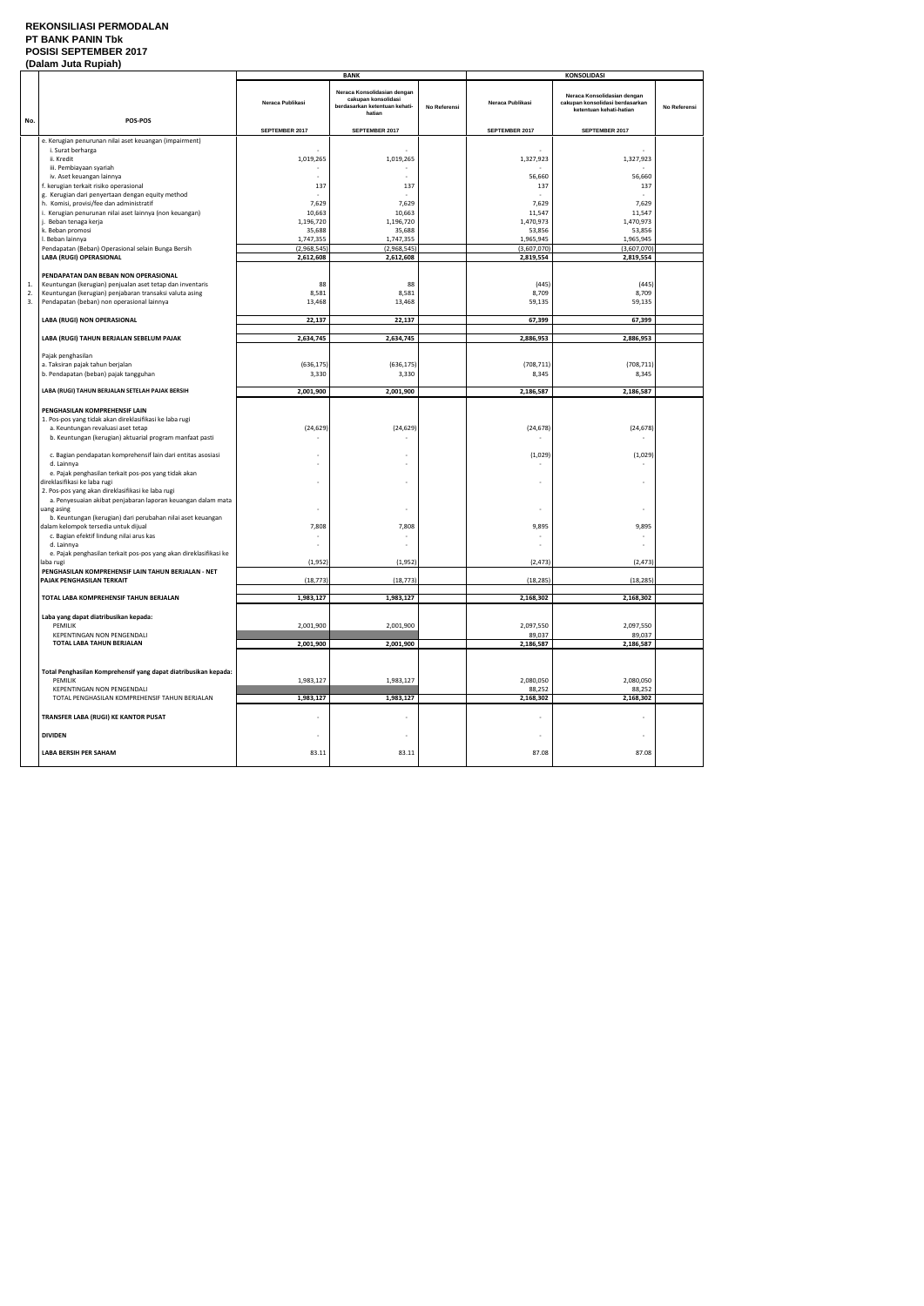### **REKONSILIASI PERMODALAN PT BANK PANIN Tbk POSISI SEPTEMBER 2017**

| (Dalam Juta Rupiah) |                                                                                                                   |                          |                                                                                               |              |                          |                                                                                           |              |
|---------------------|-------------------------------------------------------------------------------------------------------------------|--------------------------|-----------------------------------------------------------------------------------------------|--------------|--------------------------|-------------------------------------------------------------------------------------------|--------------|
|                     |                                                                                                                   |                          | <b>BANK</b>                                                                                   |              |                          | <b>KONSOLIDASI</b>                                                                        |              |
| No.                 | POS-POS                                                                                                           | Neraca Publikasi         | Neraca Konsolidasian dengan<br>cakupan konsolidasi<br>berdasarkan ketentuan kehati-<br>hatian | No Referensi | Neraca Publikasi         | Neraca Konsolidasian dengan<br>cakupan konsolidasi berdasarkan<br>ketentuan kehati-hatian | No Referensi |
|                     |                                                                                                                   | SEPTEMBER 2017           | SEPTEMBER 2017                                                                                |              | SEPTEMBER 2017           | SEPTEMBER 2017                                                                            |              |
|                     | e. Kerugian penurunan nilai aset keuangan (impairment)                                                            |                          |                                                                                               |              |                          |                                                                                           |              |
|                     | i. Surat berharga                                                                                                 |                          |                                                                                               |              |                          |                                                                                           |              |
|                     | ii. Kredit                                                                                                        | 1,019,265                | 1,019,265                                                                                     |              | 1,327,923                | 1,327,923                                                                                 |              |
|                     | iii. Pembiayaan syariah                                                                                           |                          |                                                                                               |              |                          |                                                                                           |              |
|                     | iv. Aset keuangan lainnya                                                                                         |                          |                                                                                               |              | 56,660                   | 56,660                                                                                    |              |
|                     | f. kerugian terkait risiko operasional<br>g. Kerugian dari penyertaan dengan equity method                        | 137                      | 137                                                                                           |              | 137                      | 137                                                                                       |              |
|                     | h. Komisi, provisi/fee dan administratif                                                                          | 7,629                    | 7,629                                                                                         |              | 7,629                    | 7,629                                                                                     |              |
|                     | i. Kerugian penurunan nilai aset lainnya (non keuangan)                                                           | 10,663                   | 10,663                                                                                        |              | 11,547                   | 11,547                                                                                    |              |
|                     | j. Beban tenaga kerja                                                                                             | 1,196,720                | 1,196,720                                                                                     |              | 1,470,973                | 1,470,973                                                                                 |              |
|                     | k. Beban promosi                                                                                                  | 35,688                   | 35,688                                                                                        |              | 53,856                   | 53,856                                                                                    |              |
|                     | I. Beban lainnya                                                                                                  | 1,747,355                | 1,747,355                                                                                     |              | 1,965,945                | 1,965,945                                                                                 |              |
|                     | Pendapatan (Beban) Operasional selain Bunga Bersih<br>LABA (RUGI) OPERASIONAL                                     | (2,968,545)<br>2,612,608 | (2,968,545)<br>2,612,608                                                                      |              | (3,607,070)<br>2,819,554 | (3,607,070)<br>2,819,554                                                                  |              |
|                     |                                                                                                                   |                          |                                                                                               |              |                          |                                                                                           |              |
|                     | PENDAPATAN DAN BEBAN NON OPERASIONAL                                                                              |                          |                                                                                               |              |                          |                                                                                           |              |
| 1.                  | Keuntungan (kerugian) penjualan aset tetap dan inventaris                                                         | 88                       | 88                                                                                            |              | (445)                    | (445)                                                                                     |              |
| 2.                  | Keuntungan (kerugian) penjabaran transaksi valuta asing                                                           | 8,581                    | 8,581                                                                                         |              | 8,709                    | 8,709                                                                                     |              |
| 3.                  | Pendapatan (beban) non operasional lainnya                                                                        | 13,468                   | 13,468                                                                                        |              | 59,135                   | 59,135                                                                                    |              |
|                     | LABA (RUGI) NON OPERASIONAL                                                                                       | 22,137                   | 22,137                                                                                        |              | 67,399                   | 67,399                                                                                    |              |
|                     |                                                                                                                   |                          |                                                                                               |              |                          |                                                                                           |              |
|                     | LABA (RUGI) TAHUN BERJALAN SEBELUM PAJAK                                                                          | 2,634,745                | 2,634,745                                                                                     |              | 2,886,953                | 2,886,953                                                                                 |              |
|                     |                                                                                                                   |                          |                                                                                               |              |                          |                                                                                           |              |
|                     | Pajak penghasilan                                                                                                 |                          |                                                                                               |              |                          |                                                                                           |              |
|                     | a. Taksiran pajak tahun berjalan<br>b. Pendapatan (beban) pajak tangguhan                                         | (636, 175)<br>3,330      | (636, 175)<br>3,330                                                                           |              | (708, 711)<br>8,345      | (708, 711)<br>8,345                                                                       |              |
|                     |                                                                                                                   |                          |                                                                                               |              |                          |                                                                                           |              |
|                     | LABA (RUGI) TAHUN BERJALAN SETELAH PAJAK BERSIH                                                                   | 2,001,900                | 2,001,900                                                                                     |              | 2,186,587                | 2,186,587                                                                                 |              |
|                     |                                                                                                                   |                          |                                                                                               |              |                          |                                                                                           |              |
|                     | PENGHASILAN KOMPREHENSIF LAIN                                                                                     |                          |                                                                                               |              |                          |                                                                                           |              |
|                     | 1. Pos-pos yang tidak akan direklasifikasi ke laba rugi                                                           |                          |                                                                                               |              |                          |                                                                                           |              |
|                     | a. Keuntungan revaluasi aset tetap                                                                                | (24, 629)                | (24, 629)                                                                                     |              | (24, 678)                | (24, 678)                                                                                 |              |
|                     | b. Keuntungan (kerugian) aktuarial program manfaat pasti                                                          |                          |                                                                                               |              |                          |                                                                                           |              |
|                     | c. Bagian pendapatan komprehensif lain dari entitas asosiasi                                                      |                          |                                                                                               |              | (1,029)                  | (1,029)                                                                                   |              |
|                     | d. Lainnya                                                                                                        | $\overline{\phantom{a}}$ | $\overline{\phantom{a}}$                                                                      |              |                          |                                                                                           |              |
|                     | e. Pajak penghasilan terkait pos-pos yang tidak akan                                                              |                          |                                                                                               |              |                          |                                                                                           |              |
|                     | direklasifikasi ke laba rugi                                                                                      | $\sim$                   |                                                                                               |              |                          |                                                                                           |              |
|                     | 2. Pos-pos yang akan direklasifikasi ke laba rugi<br>a. Penyesuaian akibat penjabaran laporan keuangan dalam mata |                          |                                                                                               |              |                          |                                                                                           |              |
|                     | uang asing                                                                                                        |                          |                                                                                               |              |                          |                                                                                           |              |
|                     | b. Keuntungan (kerugian) dari perubahan nilai aset keuangan                                                       |                          |                                                                                               |              |                          |                                                                                           |              |
|                     | dalam kelompok tersedia untuk dijual                                                                              | 7,808                    | 7,808                                                                                         |              | 9,895                    | 9,895                                                                                     |              |
|                     | c. Bagian efektif lindung nilai arus kas                                                                          |                          |                                                                                               |              |                          |                                                                                           |              |
|                     | d. Lainnya                                                                                                        |                          |                                                                                               |              |                          |                                                                                           |              |
|                     | e. Pajak penghasilan terkait pos-pos yang akan direklasifikasi ke<br>laba rugi                                    | (1,952)                  | (1,952)                                                                                       |              | (2, 473)                 | (2, 473)                                                                                  |              |
|                     | PENGHASILAN KOMPREHENSIF LAIN TAHUN BERJALAN - NET                                                                |                          |                                                                                               |              |                          |                                                                                           |              |
|                     | PAJAK PENGHASILAN TERKAIT                                                                                         | (18, 773)                | (18, 773)                                                                                     |              | (18, 285)                | (18, 285)                                                                                 |              |
|                     |                                                                                                                   |                          |                                                                                               |              |                          |                                                                                           |              |
|                     | TOTAL LABA KOMPREHENSIF TAHUN BERJALAN                                                                            | 1,983,127                | 1,983,127                                                                                     |              | 2,168,302                | 2,168,302                                                                                 |              |
|                     | Laba yang dapat diatribusikan kepada:                                                                             |                          |                                                                                               |              |                          |                                                                                           |              |
|                     | PEMILIK                                                                                                           | 2,001,900                | 2,001,900                                                                                     |              | 2,097,550                | 2,097,550                                                                                 |              |
|                     | KEPENTINGAN NON PENGENDALI                                                                                        |                          |                                                                                               |              | 89,037                   | 89,037                                                                                    |              |
|                     | TOTAL LABA TAHUN BERJALAN                                                                                         | 2,001,900                | 2,001,900                                                                                     |              | 2,186,587                | 2,186,587                                                                                 |              |
|                     |                                                                                                                   |                          |                                                                                               |              |                          |                                                                                           |              |
|                     |                                                                                                                   |                          |                                                                                               |              |                          |                                                                                           |              |
|                     | Total Penghasilan Komprehensif yang dapat diatribusikan kepada:<br>PEMILIK                                        | 1,983,127                |                                                                                               |              |                          |                                                                                           |              |
|                     | <b>KEPENTINGAN NON PENGENDALI</b>                                                                                 |                          | 1,983,127                                                                                     |              | 2,080,050<br>88,252      | 2,080,050<br>88,252                                                                       |              |
|                     | TOTAL PENGHASILAN KOMPREHENSIF TAHUN BERJALAN                                                                     | 1,983,127                | 1,983,127                                                                                     |              | 2,168,302                | 2,168,302                                                                                 |              |
|                     |                                                                                                                   |                          |                                                                                               |              |                          |                                                                                           |              |
|                     | TRANSFER LABA (RUGI) KE KANTOR PUSAT                                                                              |                          |                                                                                               |              |                          |                                                                                           |              |
|                     |                                                                                                                   |                          |                                                                                               |              |                          |                                                                                           |              |
|                     | <b>DIVIDEN</b>                                                                                                    | $\overline{\phantom{a}}$ | $\overline{\phantom{a}}$                                                                      |              | $\overline{\phantom{a}}$ | $\sim$                                                                                    |              |
|                     | <b>LABA BERSIH PER SAHAM</b>                                                                                      | 83.11                    | 83.11                                                                                         |              | 87.08                    | 87.08                                                                                     |              |
|                     |                                                                                                                   |                          |                                                                                               |              |                          |                                                                                           |              |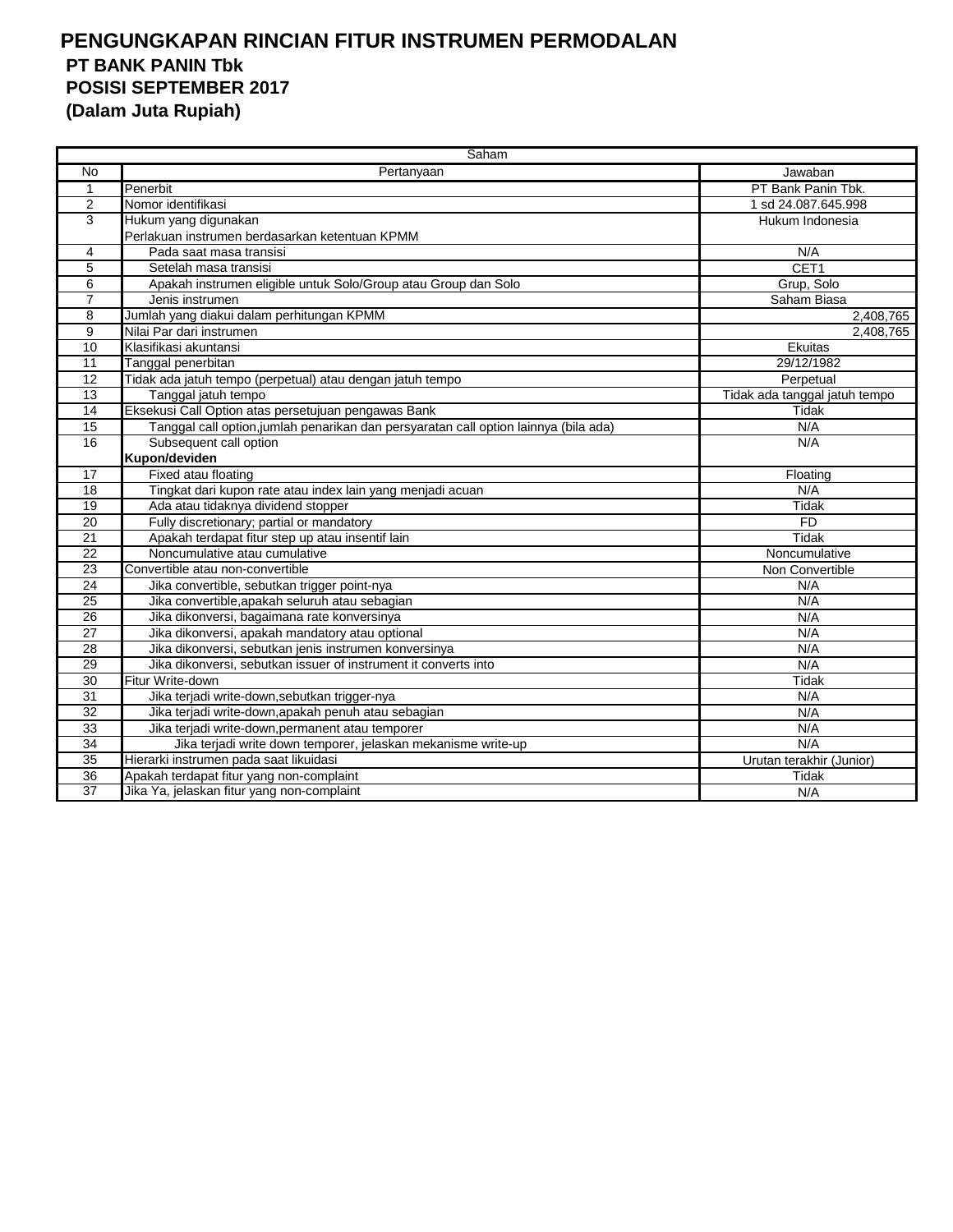|                 | Saham                                                                                |                               |
|-----------------|--------------------------------------------------------------------------------------|-------------------------------|
| No              | Pertanyaan                                                                           | Jawaban                       |
| 1               | Penerbit                                                                             | PT Bank Panin Tbk.            |
| 2               | Nomor identifikasi                                                                   | 1 sd 24.087.645.998           |
| 3               | Hukum yang digunakan                                                                 | Hukum Indonesia               |
|                 | Perlakuan instrumen berdasarkan ketentuan KPMM                                       |                               |
| 4               | Pada saat masa transisi                                                              | N/A                           |
| 5               | Setelah masa transisi                                                                | CET <sub>1</sub>              |
| 6               | Apakah instrumen eligible untuk Solo/Group atau Group dan Solo                       | Grup, Solo                    |
| 7               | Jenis instrumen                                                                      | Saham Biasa                   |
| 8               | Jumlah yang diakui dalam perhitungan KPMM                                            | 2,408,765                     |
| 9               | Nilai Par dari instrumen                                                             | 2,408,765                     |
| 10              | Klasifikasi akuntansi                                                                | Ekuitas                       |
| 11              | Tanggal penerbitan                                                                   | 29/12/1982                    |
| 12              | Tidak ada jatuh tempo (perpetual) atau dengan jatuh tempo                            | Perpetual                     |
| 13              | Tanggal jatuh tempo                                                                  | Tidak ada tanggal jatuh tempo |
| $\overline{14}$ | Eksekusi Call Option atas persetujuan pengawas Bank                                  | Tidak                         |
| $\overline{15}$ | Tanggal call option, jumlah penarikan dan persyaratan call option lainnya (bila ada) | N/A                           |
| 16              | Subsequent call option                                                               | N/A                           |
|                 | Kupon/deviden                                                                        |                               |
| 17              | Fixed atau floating                                                                  | Floating                      |
| $\overline{18}$ | Tingkat dari kupon rate atau index lain yang menjadi acuan                           | N/A                           |
| 19              | Ada atau tidaknya dividend stopper                                                   | <b>Tidak</b>                  |
| 20              | Fully discretionary; partial or mandatory                                            | <b>FD</b>                     |
| 21              | Apakah terdapat fitur step up atau insentif lain                                     | Tidak                         |
| 22              | Noncumulative atau cumulative                                                        | Noncumulative                 |
| 23              | Convertible atau non-convertible                                                     | Non Convertible               |
| $\overline{24}$ | Jika convertible, sebutkan trigger point-nya                                         | N/A                           |
| 25              | Jika convertible, apakah seluruh atau sebagian                                       | N/A                           |
| 26              | Jika dikonversi, bagaimana rate konversinya                                          | N/A                           |
| 27              | Jika dikonversi, apakah mandatory atau optional                                      | N/A                           |
| $\overline{28}$ | Jika dikonversi, sebutkan jenis instrumen konversinya                                | N/A                           |
| 29              | Jika dikonversi, sebutkan issuer of instrument it converts into                      | N/A                           |
| 30              | Fitur Write-down                                                                     | Tidak                         |
| 31              | Jika terjadi write-down, sebutkan trigger-nya                                        | N/A                           |
| $\overline{32}$ | Jika terjadi write-down, apakah penuh atau sebagian                                  | N/A                           |
| 33              | Jika terjadi write-down, permanent atau temporer                                     | N/A                           |
| 34              | Jika terjadi write down temporer, jelaskan mekanisme write-up                        | N/A                           |
| 35              | Hierarki instrumen pada saat likuidasi                                               | Urutan terakhir (Junior)      |
| 36              | Apakah terdapat fitur yang non-complaint                                             | Tidak                         |
| $\overline{37}$ | Jika Ya, jelaskan fitur yang non-complaint                                           | N/A                           |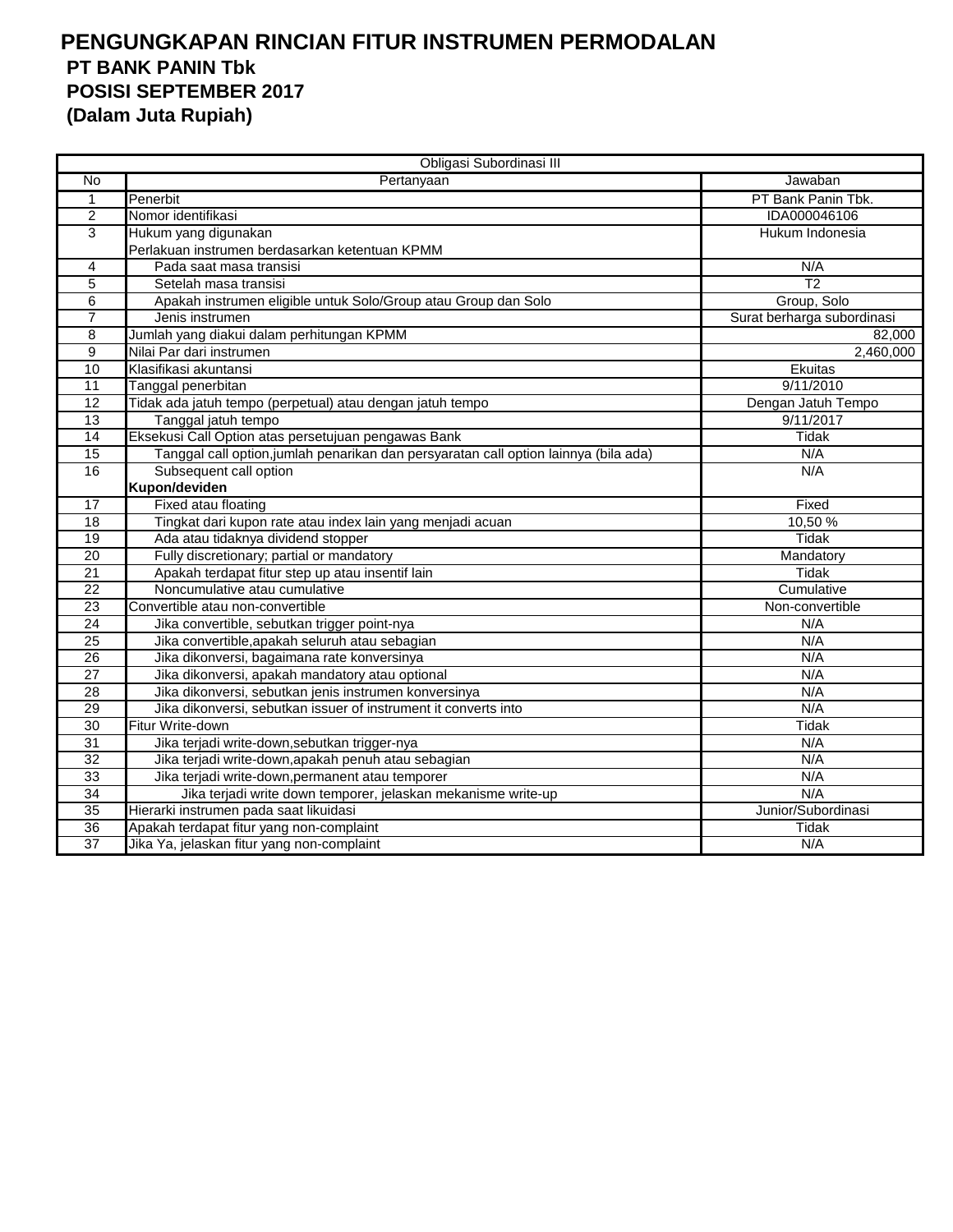|                 | Obligasi Subordinasi III                                                             |                            |
|-----------------|--------------------------------------------------------------------------------------|----------------------------|
| No              | Pertanyaan                                                                           | Jawaban                    |
| $\mathbf{1}$    | Penerbit                                                                             | PT Bank Panin Tbk.         |
| $\overline{2}$  | Nomor identifikasi                                                                   | IDA000046106               |
| 3               | Hukum yang digunakan                                                                 | Hukum Indonesia            |
|                 | Perlakuan instrumen berdasarkan ketentuan KPMM                                       |                            |
| 4               | Pada saat masa transisi                                                              | N/A                        |
| $\overline{5}$  | Setelah masa transisi                                                                | $\overline{12}$            |
| 6               | Apakah instrumen eligible untuk Solo/Group atau Group dan Solo                       | Group, Solo                |
| $\overline{7}$  | Jenis instrumen                                                                      | Surat berharga subordinasi |
| 8               | Jumlah yang diakui dalam perhitungan KPMM                                            | 82,000                     |
| 9               | Nilai Par dari instrumen                                                             | 2,460,000                  |
| 10              | Klasifikasi akuntansi                                                                | Ekuitas                    |
| 11              | Tanggal penerbitan                                                                   | 9/11/2010                  |
| 12              | Tidak ada jatuh tempo (perpetual) atau dengan jatuh tempo                            | Dengan Jatuh Tempo         |
| 13              | Tanggal jatuh tempo                                                                  | 9/11/2017                  |
| $\overline{14}$ | Eksekusi Call Option atas persetujuan pengawas Bank                                  | <b>Tidak</b>               |
| 15              | Tanggal call option, jumlah penarikan dan persyaratan call option lainnya (bila ada) | N/A                        |
| 16              | Subsequent call option                                                               | N/A                        |
|                 | Kupon/deviden                                                                        |                            |
| 17              | Fixed atau floating                                                                  | Fixed                      |
| 18              | Tingkat dari kupon rate atau index lain yang menjadi acuan                           | 10,50 %                    |
| 19              | Ada atau tidaknya dividend stopper                                                   | <b>Tidak</b>               |
| $\overline{20}$ | Fully discretionary; partial or mandatory                                            | Mandatory                  |
| 21              | Apakah terdapat fitur step up atau insentif lain                                     | Tidak                      |
| $\overline{22}$ | Noncumulative atau cumulative                                                        | Cumulative                 |
| 23              | Convertible atau non-convertible                                                     | Non-convertible            |
| 24              | Jika convertible, sebutkan trigger point-nya                                         | N/A                        |
| 25              | Jika convertible, apakah seluruh atau sebagian                                       | N/A                        |
| 26              | Jika dikonversi, bagaimana rate konversinya                                          | N/A                        |
| 27              | Jika dikonversi, apakah mandatory atau optional                                      | N/A                        |
| 28              | Jika dikonversi, sebutkan jenis instrumen konversinya                                | N/A                        |
| 29              | Jika dikonversi, sebutkan issuer of instrument it converts into                      | N/A                        |
| $\overline{30}$ | Fitur Write-down                                                                     | <b>Tidak</b>               |
| 31              | Jika terjadi write-down, sebutkan trigger-nya                                        | N/A                        |
| $\overline{32}$ | Jika terjadi write-down, apakah penuh atau sebagian                                  | N/A                        |
| 33              | Jika terjadi write-down, permanent atau temporer                                     | N/A                        |
| 34              | Jika terjadi write down temporer, jelaskan mekanisme write-up                        | N/A                        |
| $\overline{35}$ | Hierarki instrumen pada saat likuidasi                                               | Junior/Subordinasi         |
| $\overline{36}$ | Apakah terdapat fitur yang non-complaint                                             | Tidak                      |
| 37              | Jika Ya, jelaskan fitur yang non-complaint                                           | N/A                        |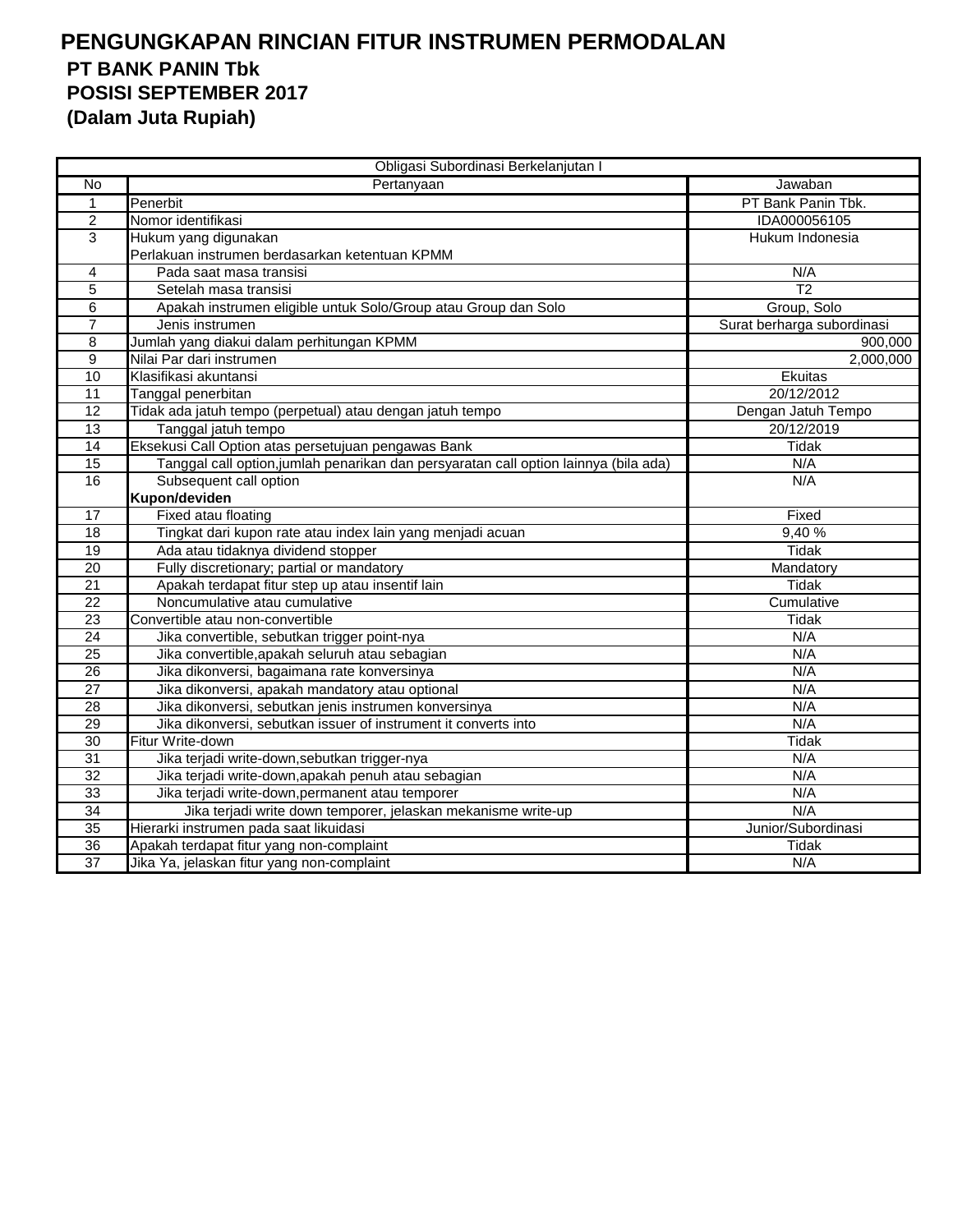|                 | Obligasi Subordinasi Berkelanjutan I                                                 |                            |
|-----------------|--------------------------------------------------------------------------------------|----------------------------|
| No              | Pertanyaan                                                                           | Jawaban                    |
| $\mathbf{1}$    | Penerbit                                                                             | PT Bank Panin Tbk.         |
| $\overline{2}$  | Nomor identifikasi                                                                   | IDA000056105               |
| 3               | Hukum yang digunakan                                                                 | Hukum Indonesia            |
|                 | Perlakuan instrumen berdasarkan ketentuan KPMM                                       |                            |
| 4               | Pada saat masa transisi                                                              | N/A                        |
| $\overline{5}$  | Setelah masa transisi                                                                | $\overline{12}$            |
| 6               | Apakah instrumen eligible untuk Solo/Group atau Group dan Solo                       | Group, Solo                |
| $\overline{7}$  | Jenis instrumen                                                                      | Surat berharga subordinasi |
| 8               | Jumlah yang diakui dalam perhitungan KPMM                                            | 900,000                    |
| $\overline{9}$  | Nilai Par dari instrumen                                                             | 2,000,000                  |
| 10              | Klasifikasi akuntansi                                                                | <b>Ekuitas</b>             |
| 11              | Tanggal penerbitan                                                                   | 20/12/2012                 |
| 12              | Tidak ada jatuh tempo (perpetual) atau dengan jatuh tempo                            | Dengan Jatuh Tempo         |
| 13              | Tanggal jatuh tempo                                                                  | 20/12/2019                 |
| 14              | Eksekusi Call Option atas persetujuan pengawas Bank                                  | <b>Tidak</b>               |
| 15              | Tanggal call option, jumlah penarikan dan persyaratan call option lainnya (bila ada) | N/A                        |
| 16              | Subsequent call option                                                               | N/A                        |
|                 | Kupon/deviden                                                                        |                            |
| 17              | Fixed atau floating                                                                  | Fixed                      |
| $\overline{18}$ | Tingkat dari kupon rate atau index lain yang menjadi acuan                           | 9,40%                      |
| 19              | Ada atau tidaknya dividend stopper                                                   | <b>Tidak</b>               |
| 20              | Fully discretionary; partial or mandatory                                            | Mandatory                  |
| $\overline{21}$ | Apakah terdapat fitur step up atau insentif lain                                     | Tidak                      |
| 22              | Noncumulative atau cumulative                                                        | Cumulative                 |
| 23              | Convertible atau non-convertible                                                     | Tidak                      |
| 24              | Jika convertible, sebutkan trigger point-nya                                         | N/A                        |
| $\overline{25}$ | Jika convertible, apakah seluruh atau sebagian                                       | N/A                        |
| $\overline{26}$ | Jika dikonversi, bagaimana rate konversinya                                          | N/A                        |
| 27              | Jika dikonversi, apakah mandatory atau optional                                      | N/A                        |
| 28              | Jika dikonversi, sebutkan jenis instrumen konversinya                                | N/A                        |
| 29              | Jika dikonversi, sebutkan issuer of instrument it converts into                      | N/A                        |
| 30              | Fitur Write-down                                                                     | <b>Tidak</b>               |
| 31              | Jika terjadi write-down, sebutkan trigger-nya                                        | N/A                        |
| 32              | Jika terjadi write-down, apakah penuh atau sebagian                                  | N/A                        |
| 33              | Jika terjadi write-down, permanent atau temporer                                     | N/A                        |
| 34              | Jika terjadi write down temporer, jelaskan mekanisme write-up                        | N/A                        |
| 35              | Hierarki instrumen pada saat likuidasi                                               | Junior/Subordinasi         |
| 36              | Apakah terdapat fitur yang non-complaint                                             | <b>Tidak</b>               |
| $\overline{37}$ | Jika Ya, jelaskan fitur yang non-complaint                                           | N/A                        |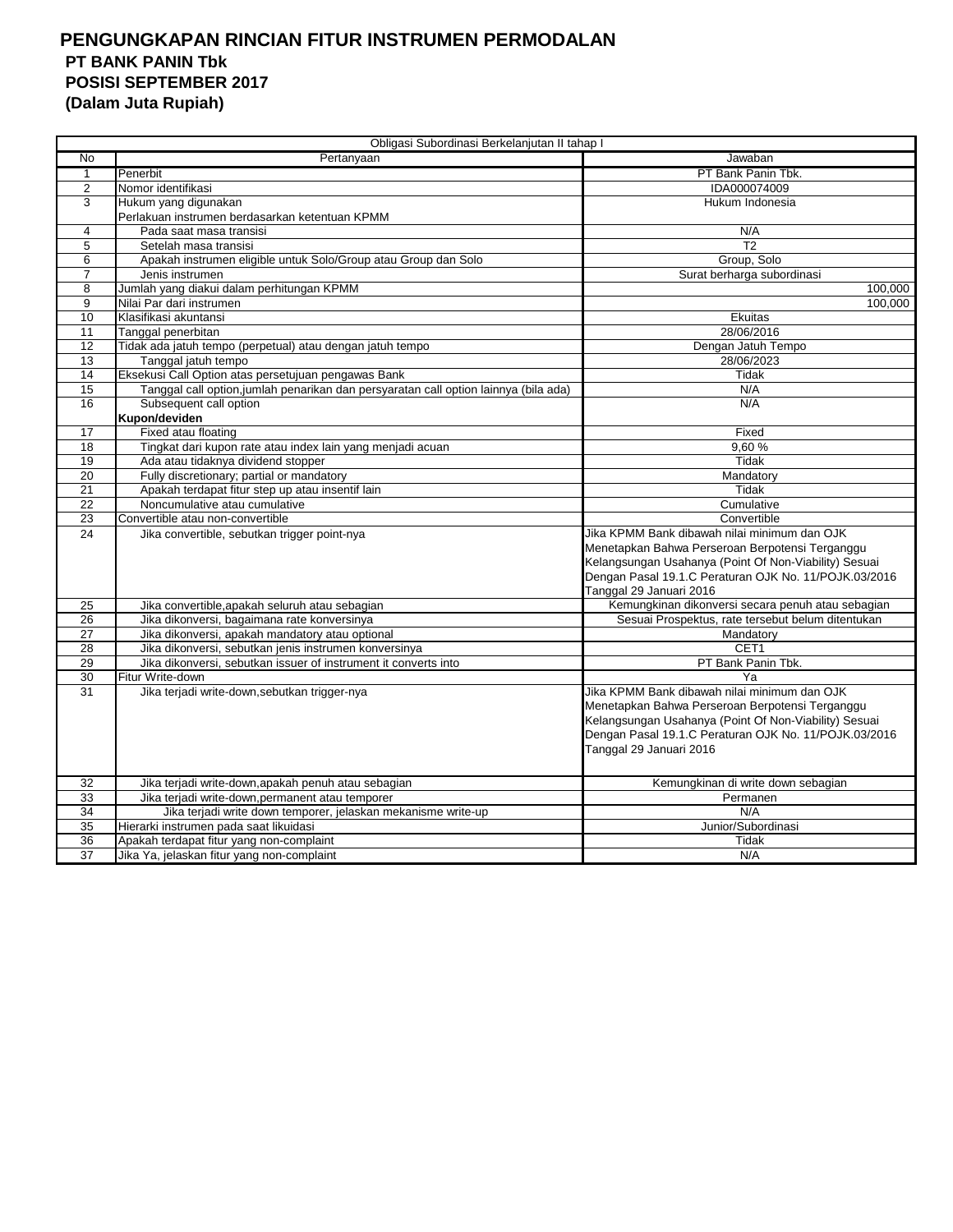| Obligasi Subordinasi Berkelanjutan II tahap I |                                                                                      |                                                       |  |
|-----------------------------------------------|--------------------------------------------------------------------------------------|-------------------------------------------------------|--|
| No                                            | Pertanyaan                                                                           | Jawaban                                               |  |
| $\mathbf{1}$                                  | Penerbit                                                                             | PT Bank Panin Tbk.                                    |  |
| 2                                             | Nomor identifikasi                                                                   | IDA000074009                                          |  |
| 3                                             | Hukum yang digunakan                                                                 | Hukum Indonesia                                       |  |
|                                               | Perlakuan instrumen berdasarkan ketentuan KPMM                                       |                                                       |  |
| 4                                             | Pada saat masa transisi                                                              | N/A                                                   |  |
| 5                                             | Setelah masa transisi                                                                | T <sub>2</sub>                                        |  |
| 6                                             | Apakah instrumen eligible untuk Solo/Group atau Group dan Solo                       | Group, Solo                                           |  |
| $\overline{7}$                                | Jenis instrumen                                                                      | Surat berharga subordinasi                            |  |
| 8                                             | Jumlah yang diakui dalam perhitungan KPMM                                            | 100,000                                               |  |
| 9                                             | Nilai Par dari instrumen                                                             | 100,000                                               |  |
| 10                                            | Klasifikasi akuntansi                                                                | Ekuitas                                               |  |
| 11                                            | Tanggal penerbitan                                                                   | 28/06/2016                                            |  |
| 12                                            | Tidak ada jatuh tempo (perpetual) atau dengan jatuh tempo                            | Dengan Jatuh Tempo                                    |  |
| 13                                            | Tanggal jatuh tempo                                                                  | 28/06/2023                                            |  |
| 14                                            | Eksekusi Call Option atas persetujuan pengawas Bank                                  | Tidak                                                 |  |
| 15                                            | Tanggal call option, jumlah penarikan dan persyaratan call option lainnya (bila ada) | N/A                                                   |  |
| 16                                            | Subsequent call option                                                               | N/A                                                   |  |
|                                               | Kupon/deviden                                                                        |                                                       |  |
| 17                                            | Fixed atau floating                                                                  | Fixed                                                 |  |
| 18                                            | Tingkat dari kupon rate atau index lain yang menjadi acuan                           | 9.60%                                                 |  |
| 19                                            | Ada atau tidaknya dividend stopper                                                   | Tidak                                                 |  |
| 20                                            | Fully discretionary; partial or mandatory                                            | Mandatory                                             |  |
| 21                                            | Apakah terdapat fitur step up atau insentif lain                                     | Tidak                                                 |  |
| 22                                            | Noncumulative atau cumulative                                                        | Cumulative                                            |  |
| 23                                            | Convertible atau non-convertible                                                     | Convertible                                           |  |
| 24                                            | Jika convertible, sebutkan trigger point-nya                                         | Jika KPMM Bank dibawah nilai minimum dan OJK          |  |
|                                               |                                                                                      | Menetapkan Bahwa Perseroan Berpotensi Terganggu       |  |
|                                               |                                                                                      | Kelangsungan Usahanya (Point Of Non-Viability) Sesuai |  |
|                                               |                                                                                      | Dengan Pasal 19.1.C Peraturan OJK No. 11/POJK.03/2016 |  |
|                                               |                                                                                      | Tanggal 29 Januari 2016                               |  |
| 25                                            | Jika convertible, apakah seluruh atau sebagian                                       | Kemungkinan dikonversi secara penuh atau sebagian     |  |
| 26                                            | Jika dikonversi, bagaimana rate konversinya                                          | Sesuai Prospektus, rate tersebut belum ditentukan     |  |
| 27                                            | Jika dikonversi, apakah mandatory atau optional                                      | Mandatory                                             |  |
| 28                                            | Jika dikonversi, sebutkan jenis instrumen konversinya                                | CET <sub>1</sub>                                      |  |
| 29                                            | Jika dikonversi, sebutkan issuer of instrument it converts into                      | PT Bank Panin Tbk.                                    |  |
| 30                                            | Fitur Write-down                                                                     | Ya                                                    |  |
| 31                                            | Jika terjadi write-down, sebutkan trigger-nya                                        | Jika KPMM Bank dibawah nilai minimum dan OJK          |  |
|                                               |                                                                                      | Menetapkan Bahwa Perseroan Berpotensi Terganggu       |  |
|                                               |                                                                                      | Kelangsungan Usahanya (Point Of Non-Viability) Sesuai |  |
|                                               |                                                                                      | Dengan Pasal 19.1.C Peraturan OJK No. 11/POJK.03/2016 |  |
|                                               |                                                                                      | Tanggal 29 Januari 2016                               |  |
|                                               |                                                                                      |                                                       |  |
| 32                                            | Jika terjadi write-down, apakah penuh atau sebagian                                  | Kemungkinan di write down sebagian                    |  |
| 33                                            | Jika terjadi write-down, permanent atau temporer                                     | Permanen                                              |  |
| 34                                            | Jika terjadi write down temporer, jelaskan mekanisme write-up                        | N/A                                                   |  |
| 35                                            | Hierarki instrumen pada saat likuidasi                                               | Junior/Subordinasi                                    |  |
| 36                                            | Apakah terdapat fitur yang non-complaint                                             | Tidak                                                 |  |
| 37                                            | Jika Ya, jelaskan fitur yang non-complaint                                           | N/A                                                   |  |